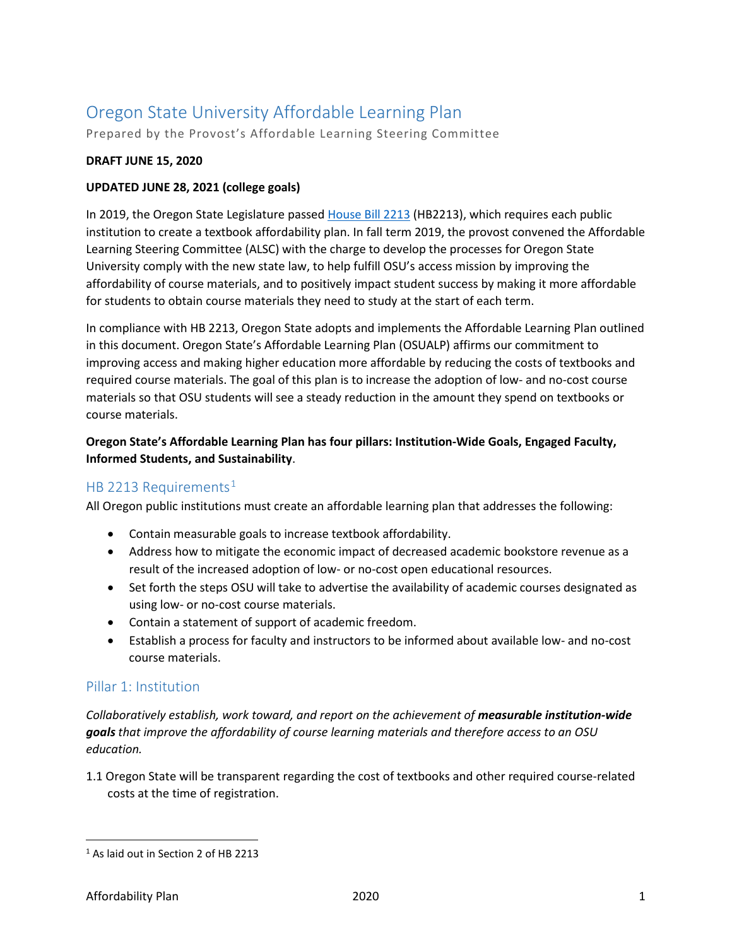# Oregon State University Affordable Learning Plan

Prepared by the Provost's Affordable Learning Steering Committee

#### **DRAFT JUNE 15, 2020**

#### **UPDATED JUNE 28, 2021 (college goals)**

In 2019, the Oregon State Legislature passed [House Bill 2213](https://olis.leg.state.or.us/liz/2019R1/Downloads/MeasureDocument/HB2213) (HB2213), which requires each public institution to create a textbook affordability plan. In fall term 2019, the provost convened the Affordable Learning Steering Committee (ALSC) with the charge to develop the processes for Oregon State University comply with the new state law, to help fulfill OSU's access mission by improving the affordability of course materials, and to positively impact student success by making it more affordable for students to obtain course materials they need to study at the start of each term.

In compliance with HB 2213, Oregon State adopts and implements the Affordable Learning Plan outlined in this document. Oregon State's Affordable Learning Plan (OSUALP) affirms our commitment to improving access and making higher education more affordable by reducing the costs of textbooks and required course materials. The goal of this plan is to increase the adoption of low- and no-cost course materials so that OSU students will see a steady reduction in the amount they spend on textbooks or course materials.

#### **Oregon State's Affordable Learning Plan has four pillars: Institution-Wide Goals, Engaged Faculty, Informed Students, and Sustainability**.

## HB 22[1](#page-0-0)3 Requirements<sup>1</sup>

All Oregon public institutions must create an affordable learning plan that addresses the following:

- Contain measurable goals to increase textbook affordability.
- Address how to mitigate the economic impact of decreased academic bookstore revenue as a result of the increased adoption of low- or no-cost open educational resources.
- Set forth the steps OSU will take to advertise the availability of academic courses designated as using low- or no-cost course materials.
- Contain a statement of support of academic freedom.
- Establish a process for faculty and instructors to be informed about available low- and no-cost course materials.

#### Pillar 1: Institution

*Collaboratively establish, work toward, and report on the achievement of measurable institution-wide goals that improve the affordability of course learning materials and therefore access to an OSU education.* 

1.1 Oregon State will be transparent regarding the cost of textbooks and other required course-related costs at the time of registration.

<span id="page-0-0"></span> <sup>1</sup> As laid out in Section 2 of HB 2213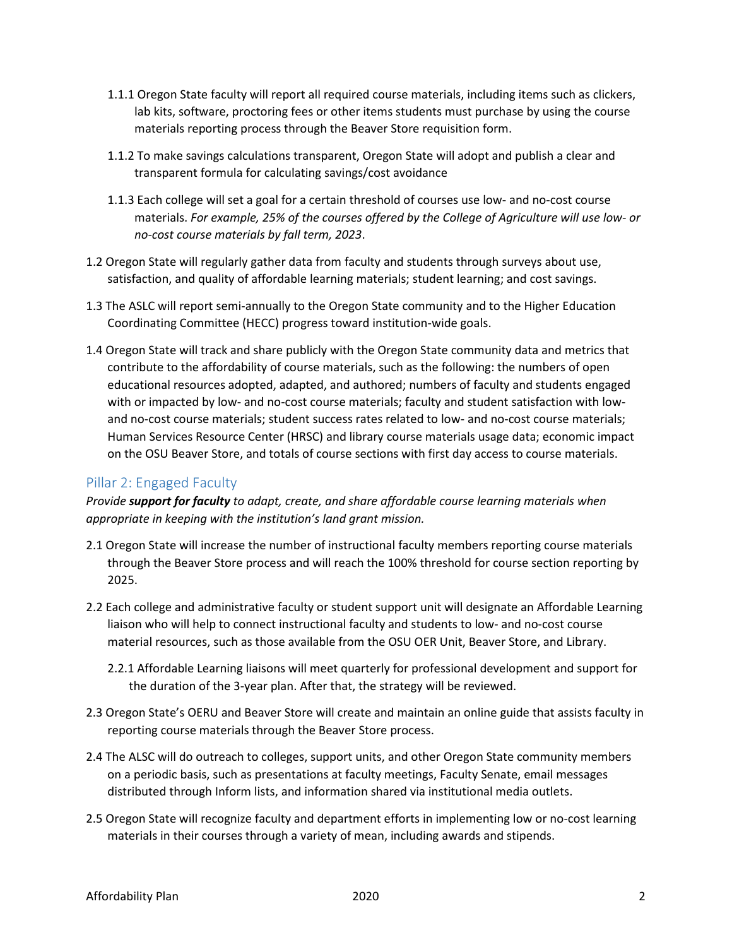- 1.1.1 Oregon State faculty will report all required course materials, including items such as clickers, lab kits, software, proctoring fees or other items students must purchase by using the course materials reporting process through the Beaver Store requisition form.
- 1.1.2 To make savings calculations transparent, Oregon State will adopt and publish a clear and transparent formula for calculating savings/cost avoidance
- 1.1.3 Each college will set a goal for a certain threshold of courses use low- and no-cost course materials. *For example, 25% of the courses offered by the College of Agriculture will use low- or no-cost course materials by fall term, 2023*.
- 1.2 Oregon State will regularly gather data from faculty and students through surveys about use, satisfaction, and quality of affordable learning materials; student learning; and cost savings.
- 1.3 The ASLC will report semi-annually to the Oregon State community and to the Higher Education Coordinating Committee (HECC) progress toward institution-wide goals.
- 1.4 Oregon State will track and share publicly with the Oregon State community data and metrics that contribute to the affordability of course materials, such as the following: the numbers of open educational resources adopted, adapted, and authored; numbers of faculty and students engaged with or impacted by low- and no-cost course materials; faculty and student satisfaction with lowand no-cost course materials; student success rates related to low- and no-cost course materials; Human Services Resource Center (HRSC) and library course materials usage data; economic impact on the OSU Beaver Store, and totals of course sections with first day access to course materials.

## Pillar 2: Engaged Faculty

*Provide support for faculty to adapt, create, and share affordable course learning materials when appropriate in keeping with the institution's land grant mission.*

- 2.1 Oregon State will increase the number of instructional faculty members reporting course materials through the Beaver Store process and will reach the 100% threshold for course section reporting by 2025.
- 2.2 Each college and administrative faculty or student support unit will designate an Affordable Learning liaison who will help to connect instructional faculty and students to low- and no-cost course material resources, such as those available from the OSU OER Unit, Beaver Store, and Library.
	- 2.2.1 Affordable Learning liaisons will meet quarterly for professional development and support for the duration of the 3-year plan. After that, the strategy will be reviewed.
- 2.3 Oregon State's OERU and Beaver Store will create and maintain an online guide that assists faculty in reporting course materials through the Beaver Store process.
- 2.4 The ALSC will do outreach to colleges, support units, and other Oregon State community members on a periodic basis, such as presentations at faculty meetings, Faculty Senate, email messages distributed through Inform lists, and information shared via institutional media outlets.
- 2.5 Oregon State will recognize faculty and department efforts in implementing low or no-cost learning materials in their courses through a variety of mean, including awards and stipends.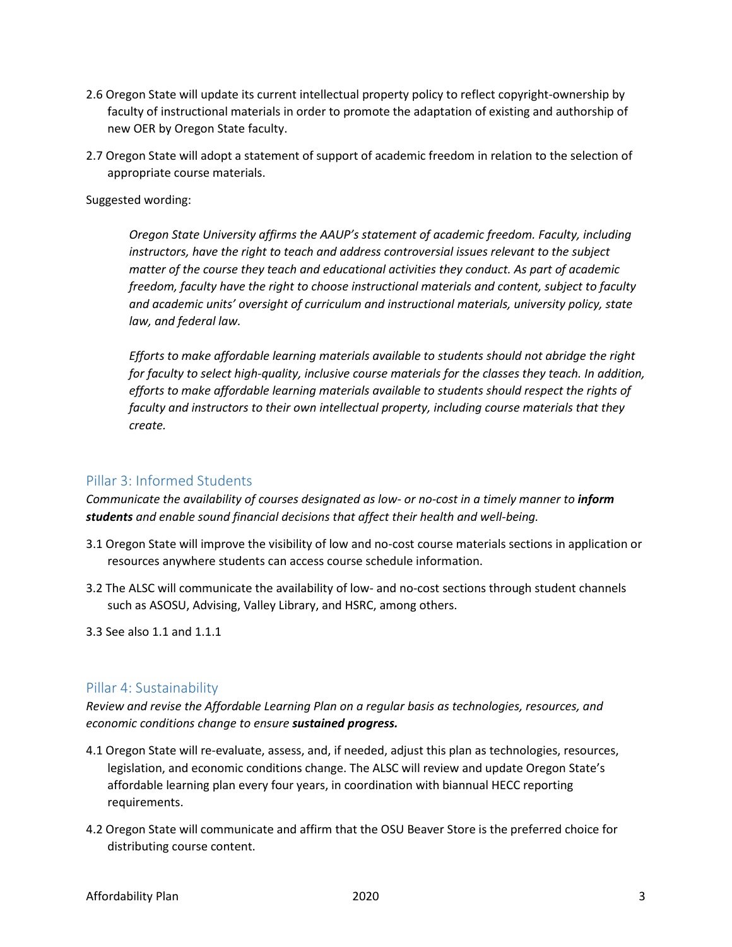- 2.6 Oregon State will update its current intellectual property policy to reflect copyright-ownership by faculty of instructional materials in order to promote the adaptation of existing and authorship of new OER by Oregon State faculty.
- 2.7 Oregon State will adopt a statement of support of academic freedom in relation to the selection of appropriate course materials.

Suggested wording:

*Oregon State University affirms the AAUP's statement of academic freedom. Faculty, including instructors, have the right to teach and address controversial issues relevant to the subject matter of the course they teach and educational activities they conduct. As part of academic freedom, faculty have the right to choose instructional materials and content, subject to faculty and academic units' oversight of curriculum and instructional materials, university policy, state law, and federal law.* 

*Efforts to make affordable learning materials available to students should not abridge the right for faculty to select high-quality, inclusive course materials for the classes they teach. In addition, efforts to make affordable learning materials available to students should respect the rights of faculty and instructors to their own intellectual property, including course materials that they create.*

#### Pillar 3: Informed Students

*Communicate the availability of courses designated as low- or no-cost in a timely manner to inform students and enable sound financial decisions that affect their health and well-being.* 

- 3.1 Oregon State will improve the visibility of low and no-cost course materials sections in application or resources anywhere students can access course schedule information.
- 3.2 The ALSC will communicate the availability of low- and no-cost sections through student channels such as ASOSU, Advising, Valley Library, and HSRC, among others.
- 3.3 See also 1.1 and 1.1.1

#### Pillar 4: Sustainability

*Review and revise the Affordable Learning Plan on a regular basis as technologies, resources, and economic conditions change to ensure sustained progress.*

- 4.1 Oregon State will re-evaluate, assess, and, if needed, adjust this plan as technologies, resources, legislation, and economic conditions change. The ALSC will review and update Oregon State's affordable learning plan every four years, in coordination with biannual HECC reporting requirements.
- 4.2 Oregon State will communicate and affirm that the OSU Beaver Store is the preferred choice for distributing course content.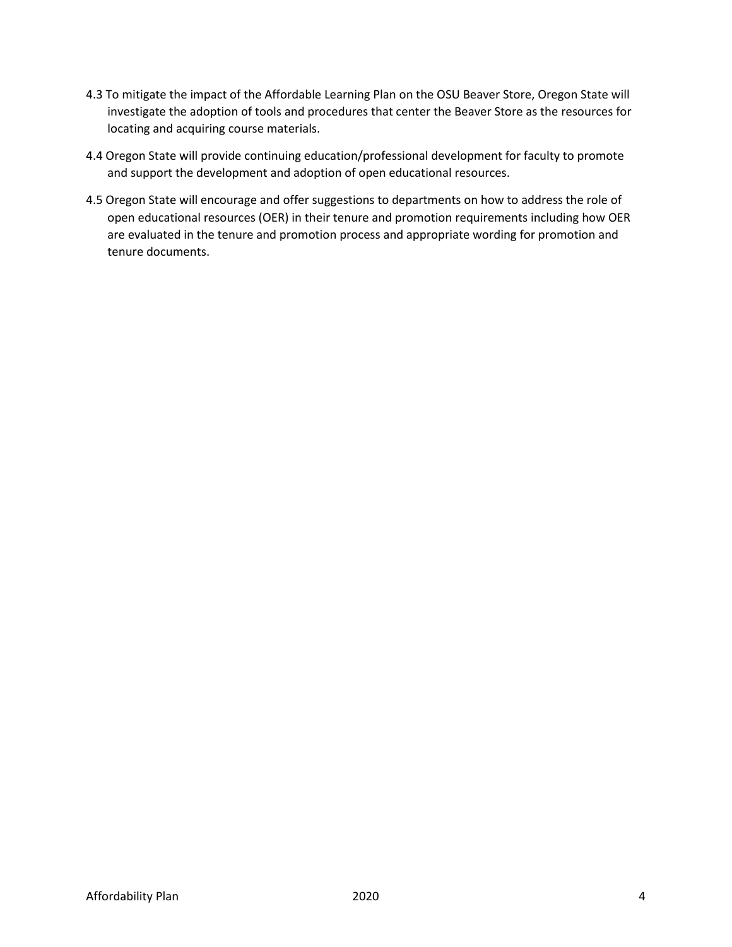- 4.3 To mitigate the impact of the Affordable Learning Plan on the OSU Beaver Store, Oregon State will investigate the adoption of tools and procedures that center the Beaver Store as the resources for locating and acquiring course materials.
- 4.4 Oregon State will provide continuing education/professional development for faculty to promote and support the development and adoption of open educational resources.
- 4.5 Oregon State will encourage and offer suggestions to departments on how to address the role of open educational resources (OER) in their tenure and promotion requirements including how OER are evaluated in the tenure and promotion process and appropriate wording for promotion and tenure documents.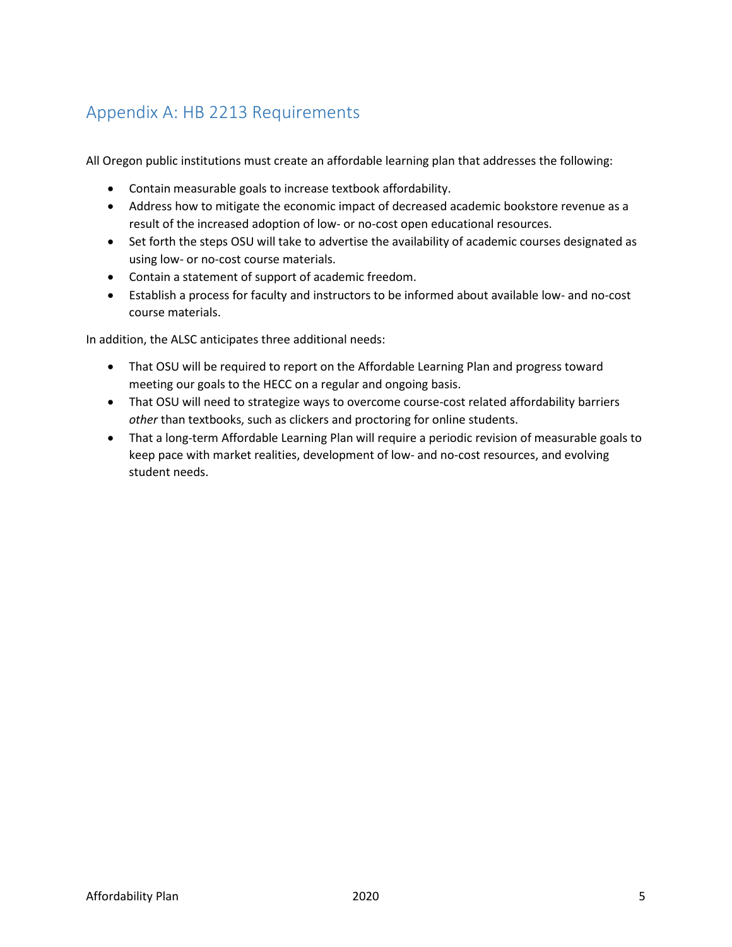# Appendix A: HB 2213 Requirements

All Oregon public institutions must create an affordable learning plan that addresses the following:

- Contain measurable goals to increase textbook affordability.
- Address how to mitigate the economic impact of decreased academic bookstore revenue as a result of the increased adoption of low- or no-cost open educational resources.
- Set forth the steps OSU will take to advertise the availability of academic courses designated as using low- or no-cost course materials.
- Contain a statement of support of academic freedom.
- Establish a process for faculty and instructors to be informed about available low- and no-cost course materials.

In addition, the ALSC anticipates three additional needs:

- That OSU will be required to report on the Affordable Learning Plan and progress toward meeting our goals to the HECC on a regular and ongoing basis.
- That OSU will need to strategize ways to overcome course-cost related affordability barriers *other* than textbooks, such as clickers and proctoring for online students.
- That a long-term Affordable Learning Plan will require a periodic revision of measurable goals to keep pace with market realities, development of low- and no-cost resources, and evolving student needs.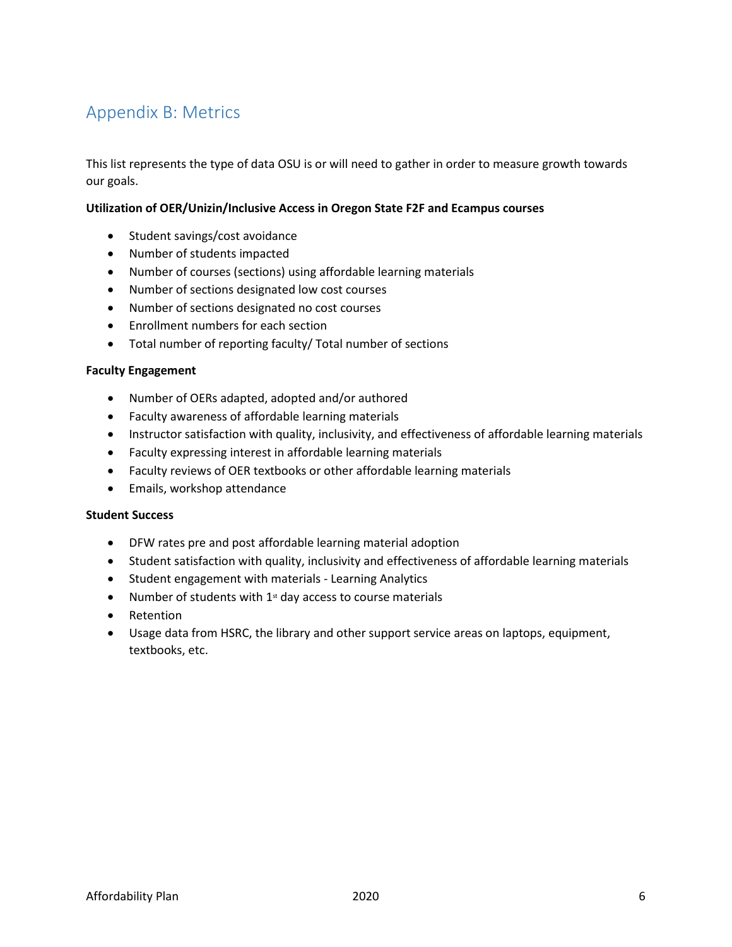# Appendix B: Metrics

This list represents the type of data OSU is or will need to gather in order to measure growth towards our goals.

#### **Utilization of OER/Unizin/Inclusive Access in Oregon State F2F and Ecampus courses**

- Student savings/cost avoidance
- Number of students impacted
- Number of courses (sections) using affordable learning materials
- Number of sections designated low cost courses
- Number of sections designated no cost courses
- Enrollment numbers for each section
- Total number of reporting faculty/ Total number of sections

#### **Faculty Engagement**

- Number of OERs adapted, adopted and/or authored
- Faculty awareness of affordable learning materials
- Instructor satisfaction with quality, inclusivity, and effectiveness of affordable learning materials
- Faculty expressing interest in affordable learning materials
- Faculty reviews of OER textbooks or other affordable learning materials
- Emails, workshop attendance

#### **Student Success**

- DFW rates pre and post affordable learning material adoption
- Student satisfaction with quality, inclusivity and effectiveness of affordable learning materials
- Student engagement with materials Learning Analytics
- Number of students with  $1<sup>st</sup>$  day access to course materials
- Retention
- Usage data from HSRC, the library and other support service areas on laptops, equipment, textbooks, etc.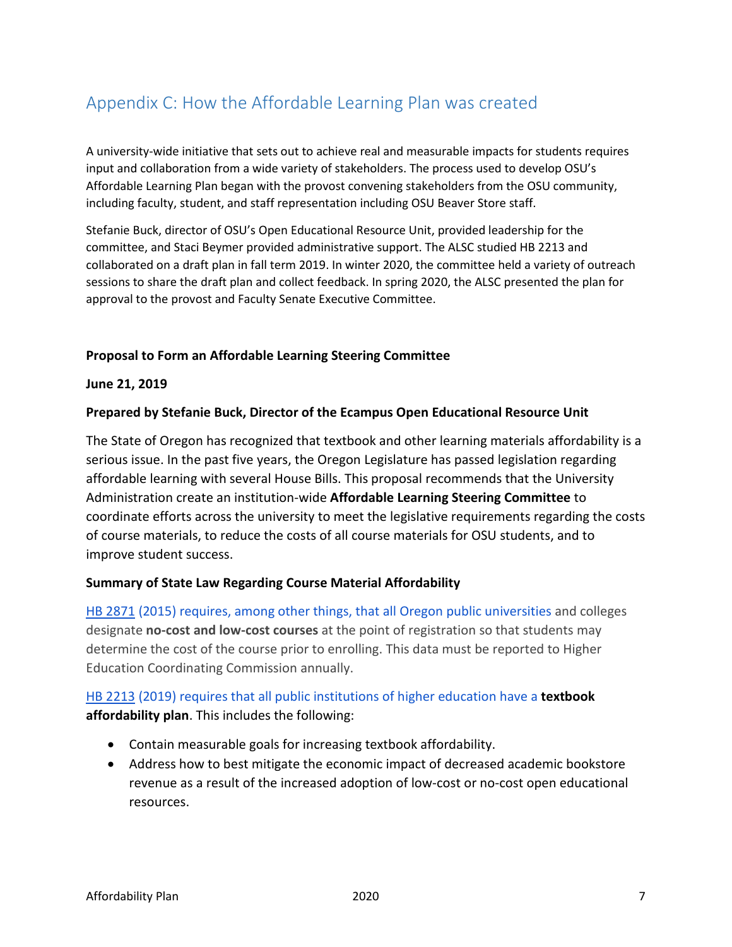# Appendix C: How the Affordable Learning Plan was created

A university-wide initiative that sets out to achieve real and measurable impacts for students requires input and collaboration from a wide variety of stakeholders. The process used to develop OSU's Affordable Learning Plan began with the provost convening stakeholders from the OSU community, including faculty, student, and staff representation including OSU Beaver Store staff.

Stefanie Buck, director of OSU's Open Educational Resource Unit, provided leadership for the committee, and Staci Beymer provided administrative support. The ALSC studied HB 2213 and collaborated on a draft plan in fall term 2019. In winter 2020, the committee held a variety of outreach sessions to share the draft plan and collect feedback. In spring 2020, the ALSC presented the plan for approval to the provost and Faculty Senate Executive Committee.

#### **Proposal to Form an Affordable Learning Steering Committee**

#### **June 21, 2019**

#### **Prepared by Stefanie Buck, Director of the Ecampus Open Educational Resource Unit**

The State of Oregon has recognized that textbook and other learning materials affordability is a serious issue. In the past five years, the Oregon Legislature has passed legislation regarding affordable learning with several House Bills. This proposal recommends that the University Administration create an institution-wide **Affordable Learning Steering Committee** to coordinate efforts across the university to meet the legislative requirements regarding the costs of course materials, to reduce the costs of all course materials for OSU students, and to improve student success.

#### **Summary of State Law Regarding Course Material Affordability**

[HB 2871](https://olis.leg.state.or.us/liz/2015R1/Downloads/MeasureDocument/HB2871/Enrolled) (2015) requires, among other things, that all Oregon public universities and colleges designate **no-cost and low-cost courses** at the point of registration so that students may determine the cost of the course prior to enrolling. This data must be reported to Higher Education Coordinating Commission annually.

## [HB 2213](https://olis.leg.state.or.us/liz/2019R1/Downloads/MeasureDocument/HB2213) (2019) requires that all public institutions of higher education have a **textbook affordability plan**. This includes the following:

- Contain measurable goals for increasing textbook affordability.
- Address how to best mitigate the economic impact of decreased academic bookstore revenue as a result of the increased adoption of low-cost or no-cost open educational resources.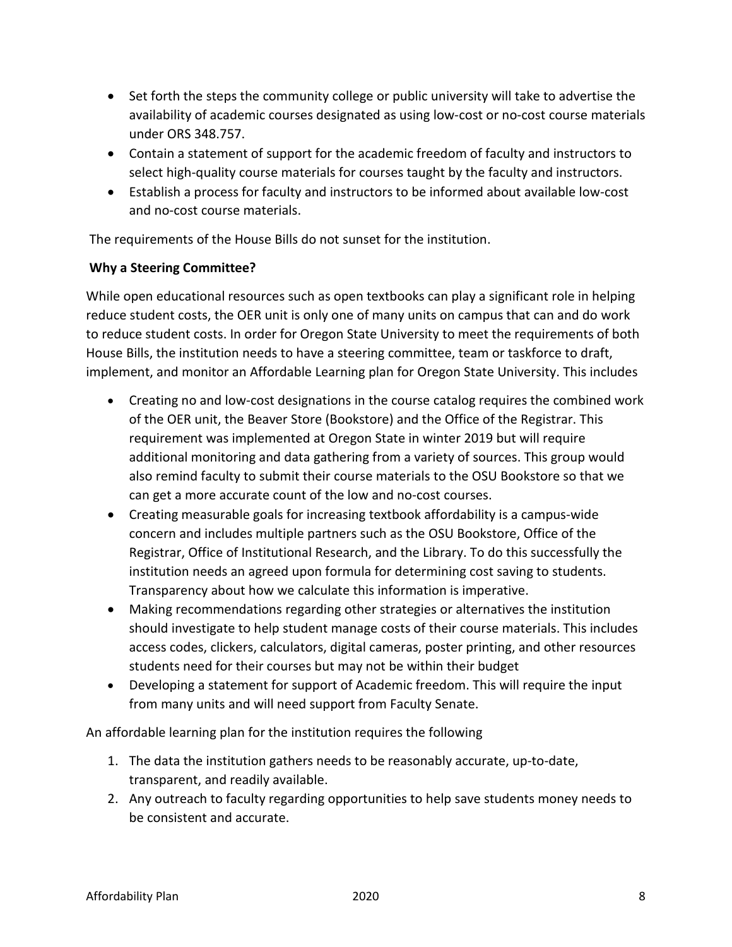- Set forth the steps the community college or public university will take to advertise the availability of academic courses designated as using low-cost or no-cost course materials under ORS 348.757.
- Contain a statement of support for the academic freedom of faculty and instructors to select high-quality course materials for courses taught by the faculty and instructors.
- Establish a process for faculty and instructors to be informed about available low-cost and no-cost course materials.

The requirements of the House Bills do not sunset for the institution.

#### **Why a Steering Committee?**

While open educational resources such as open textbooks can play a significant role in helping reduce student costs, the OER unit is only one of many units on campus that can and do work to reduce student costs. In order for Oregon State University to meet the requirements of both House Bills, the institution needs to have a steering committee, team or taskforce to draft, implement, and monitor an Affordable Learning plan for Oregon State University. This includes

- Creating no and low-cost designations in the course catalog requires the combined work of the OER unit, the Beaver Store (Bookstore) and the Office of the Registrar. This requirement was implemented at Oregon State in winter 2019 but will require additional monitoring and data gathering from a variety of sources. This group would also remind faculty to submit their course materials to the OSU Bookstore so that we can get a more accurate count of the low and no-cost courses.
- Creating measurable goals for increasing textbook affordability is a campus-wide concern and includes multiple partners such as the OSU Bookstore, Office of the Registrar, Office of Institutional Research, and the Library. To do this successfully the institution needs an agreed upon formula for determining cost saving to students. Transparency about how we calculate this information is imperative.
- Making recommendations regarding other strategies or alternatives the institution should investigate to help student manage costs of their course materials. This includes access codes, clickers, calculators, digital cameras, poster printing, and other resources students need for their courses but may not be within their budget
- Developing a statement for support of Academic freedom. This will require the input from many units and will need support from Faculty Senate.

An affordable learning plan for the institution requires the following

- 1. The data the institution gathers needs to be reasonably accurate, up-to-date, transparent, and readily available.
- 2. Any outreach to faculty regarding opportunities to help save students money needs to be consistent and accurate.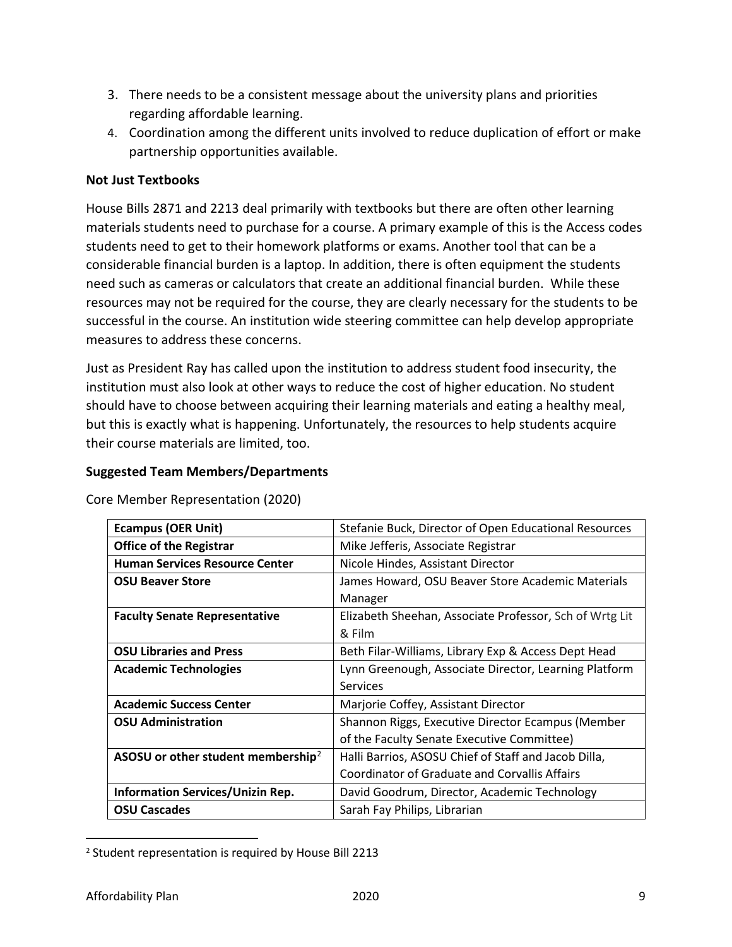- 3. There needs to be a consistent message about the university plans and priorities regarding affordable learning.
- 4. Coordination among the different units involved to reduce duplication of effort or make partnership opportunities available.

## **Not Just Textbooks**

House Bills 2871 and 2213 deal primarily with textbooks but there are often other learning materials students need to purchase for a course. A primary example of this is the Access codes students need to get to their homework platforms or exams. Another tool that can be a considerable financial burden is a laptop. In addition, there is often equipment the students need such as cameras or calculators that create an additional financial burden. While these resources may not be required for the course, they are clearly necessary for the students to be successful in the course. An institution wide steering committee can help develop appropriate measures to address these concerns.

Just as President Ray has called upon the institution to address student food insecurity, the institution must also look at other ways to reduce the cost of higher education. No student should have to choose between acquiring their learning materials and eating a healthy meal, but this is exactly what is happening. Unfortunately, the resources to help students acquire their course materials are limited, too.

#### **Suggested Team Members/Departments**

Core Member Representation (2020)

| <b>Ecampus (OER Unit)</b>                      | Stefanie Buck, Director of Open Educational Resources   |
|------------------------------------------------|---------------------------------------------------------|
| <b>Office of the Registrar</b>                 | Mike Jefferis, Associate Registrar                      |
| <b>Human Services Resource Center</b>          | Nicole Hindes, Assistant Director                       |
| <b>OSU Beaver Store</b>                        | James Howard, OSU Beaver Store Academic Materials       |
|                                                | Manager                                                 |
| <b>Faculty Senate Representative</b>           | Elizabeth Sheehan, Associate Professor, Sch of Wrtg Lit |
|                                                | & Film                                                  |
| <b>OSU Libraries and Press</b>                 | Beth Filar-Williams, Library Exp & Access Dept Head     |
| <b>Academic Technologies</b>                   | Lynn Greenough, Associate Director, Learning Platform   |
|                                                | <b>Services</b>                                         |
| <b>Academic Success Center</b>                 | Marjorie Coffey, Assistant Director                     |
| <b>OSU Administration</b>                      | Shannon Riggs, Executive Director Ecampus (Member       |
|                                                | of the Faculty Senate Executive Committee)              |
| ASOSU or other student membership <sup>2</sup> | Halli Barrios, ASOSU Chief of Staff and Jacob Dilla,    |
|                                                | Coordinator of Graduate and Corvallis Affairs           |
| <b>Information Services/Unizin Rep.</b>        | David Goodrum, Director, Academic Technology            |
| <b>OSU Cascades</b>                            | Sarah Fay Philips, Librarian                            |

<span id="page-8-0"></span> <sup>2</sup> Student representation is required by House Bill 2213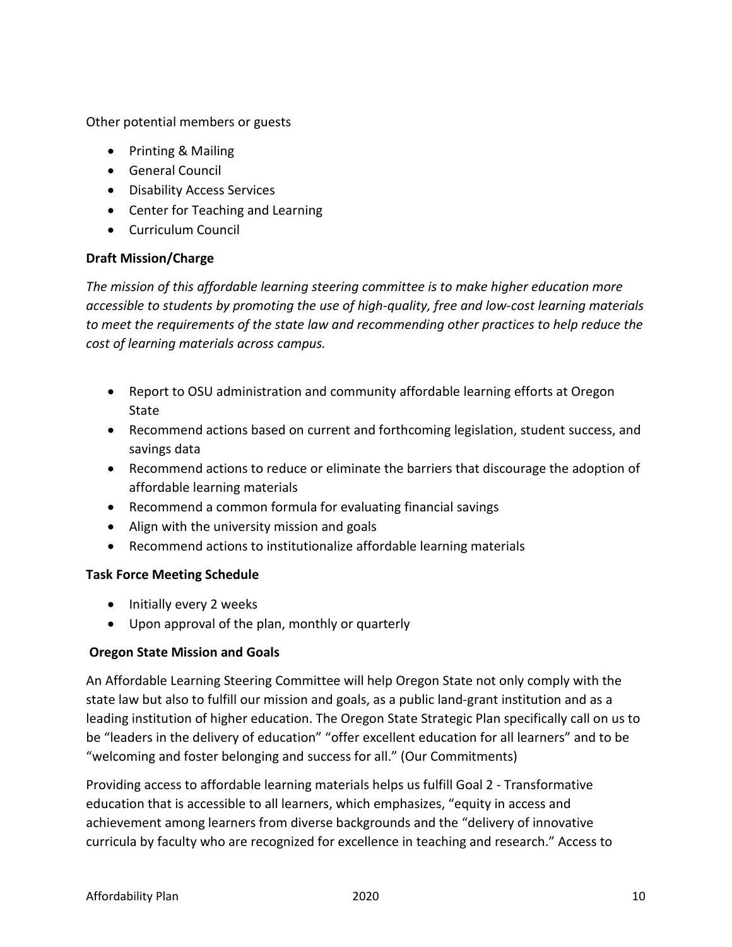Other potential members or guests

- Printing & Mailing
- General Council
- Disability Access Services
- Center for Teaching and Learning
- Curriculum Council

#### **Draft Mission/Charge**

*The mission of this affordable learning steering committee is to make higher education more accessible to students by promoting the use of high-quality, free and low-cost learning materials to meet the requirements of the state law and recommending other practices to help reduce the cost of learning materials across campus.*

- Report to OSU administration and community affordable learning efforts at Oregon **State**
- Recommend actions based on current and forthcoming legislation, student success, and savings data
- Recommend actions to reduce or eliminate the barriers that discourage the adoption of affordable learning materials
- Recommend a common formula for evaluating financial savings
- Align with the university mission and goals
- Recommend actions to institutionalize affordable learning materials

## **Task Force Meeting Schedule**

- Initially every 2 weeks
- Upon approval of the plan, monthly or quarterly

## **Oregon State Mission and Goals**

An Affordable Learning Steering Committee will help Oregon State not only comply with the state law but also to fulfill our mission and goals, as a public land-grant institution and as a leading institution of higher education. The Oregon State Strategic Plan specifically call on us to be "leaders in the delivery of education" "offer excellent education for all learners" and to be "welcoming and foster belonging and success for all." (Our Commitments)

Providing access to affordable learning materials helps us fulfill Goal 2 - Transformative education that is accessible to all learners, which emphasizes, "equity in access and achievement among learners from diverse backgrounds and the "delivery of innovative curricula by faculty who are recognized for excellence in teaching and research." Access to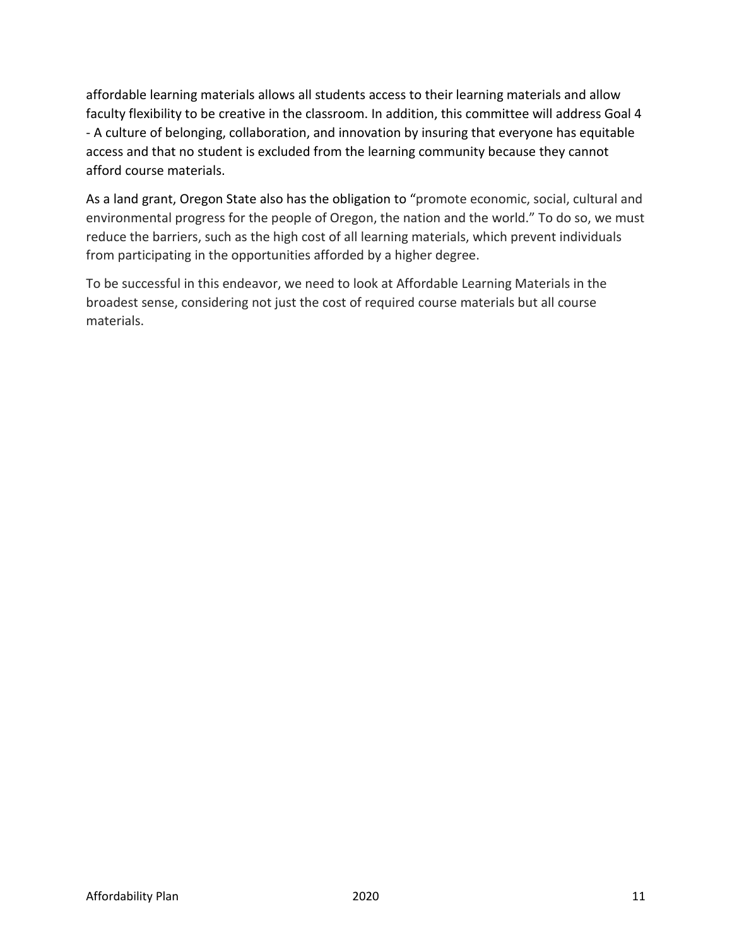affordable learning materials allows all students access to their learning materials and allow faculty flexibility to be creative in the classroom. In addition, this committee will address Goal 4 - A culture of belonging, collaboration, and innovation by insuring that everyone has equitable access and that no student is excluded from the learning community because they cannot afford course materials.

As a land grant, Oregon State also has the obligation to "promote economic, social, cultural and environmental progress for the people of Oregon, the nation and the world." To do so, we must reduce the barriers, such as the high cost of all learning materials, which prevent individuals from participating in the opportunities afforded by a higher degree.

To be successful in this endeavor, we need to look at Affordable Learning Materials in the broadest sense, considering not just the cost of required course materials but all course materials.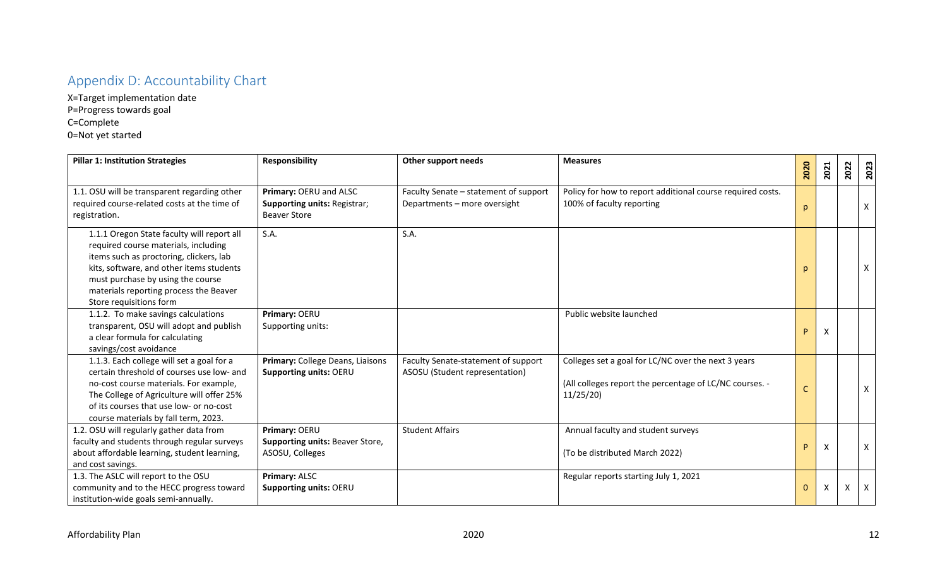# Appendix D: Accountability Chart

X=Target implementation date P=Progress towards goal C=Complete 0=Not yet started

| <b>Pillar 1: Institution Strategies</b>                                                                                                                                                                                                                                             | <b>Responsibility</b>                                                                | Other support needs                                                   | <b>Measures</b>                                                                                                            | 2020         | 2021 | 2022 | 2023         |
|-------------------------------------------------------------------------------------------------------------------------------------------------------------------------------------------------------------------------------------------------------------------------------------|--------------------------------------------------------------------------------------|-----------------------------------------------------------------------|----------------------------------------------------------------------------------------------------------------------------|--------------|------|------|--------------|
| 1.1. OSU will be transparent regarding other<br>required course-related costs at the time of<br>registration.                                                                                                                                                                       | Primary: OERU and ALSC<br><b>Supporting units: Registrar;</b><br><b>Beaver Store</b> | Faculty Senate - statement of support<br>Departments - more oversight | Policy for how to report additional course required costs.<br>100% of faculty reporting                                    | p            |      |      | $\mathsf{X}$ |
| 1.1.1 Oregon State faculty will report all<br>required course materials, including<br>items such as proctoring, clickers, lab<br>kits, software, and other items students<br>must purchase by using the course<br>materials reporting process the Beaver<br>Store requisitions form | S.A.                                                                                 | S.A.                                                                  |                                                                                                                            | $\mathsf{D}$ |      |      | $\mathsf{X}$ |
| 1.1.2. To make savings calculations<br>transparent, OSU will adopt and publish<br>a clear formula for calculating<br>savings/cost avoidance                                                                                                                                         | Primary: OERU<br>Supporting units:                                                   |                                                                       | Public website launched                                                                                                    | P.           | X    |      |              |
| 1.1.3. Each college will set a goal for a<br>certain threshold of courses use low- and<br>no-cost course materials. For example,<br>The College of Agriculture will offer 25%<br>of its courses that use low- or no-cost<br>course materials by fall term, 2023.                    | Primary: College Deans, Liaisons<br>Supporting units: OERU                           | Faculty Senate-statement of support<br>ASOSU (Student representation) | Colleges set a goal for LC/NC over the next 3 years<br>(All colleges report the percentage of LC/NC courses. -<br>11/25/20 | C            |      |      | $\mathsf{X}$ |
| 1.2. OSU will regularly gather data from<br>faculty and students through regular surveys<br>about affordable learning, student learning,<br>and cost savings.                                                                                                                       | Primary: OERU<br>Supporting units: Beaver Store,<br>ASOSU, Colleges                  | <b>Student Affairs</b>                                                | Annual faculty and student surveys<br>(To be distributed March 2022)                                                       | P            |      |      | $\mathsf{X}$ |
| 1.3. The ASLC will report to the OSU<br>community and to the HECC progress toward<br>institution-wide goals semi-annually.                                                                                                                                                          | Primary: ALSC<br>Supporting units: OERU                                              |                                                                       | Regular reports starting July 1, 2021                                                                                      | $\mathbf{0}$ | X    | X    | $\mathsf{X}$ |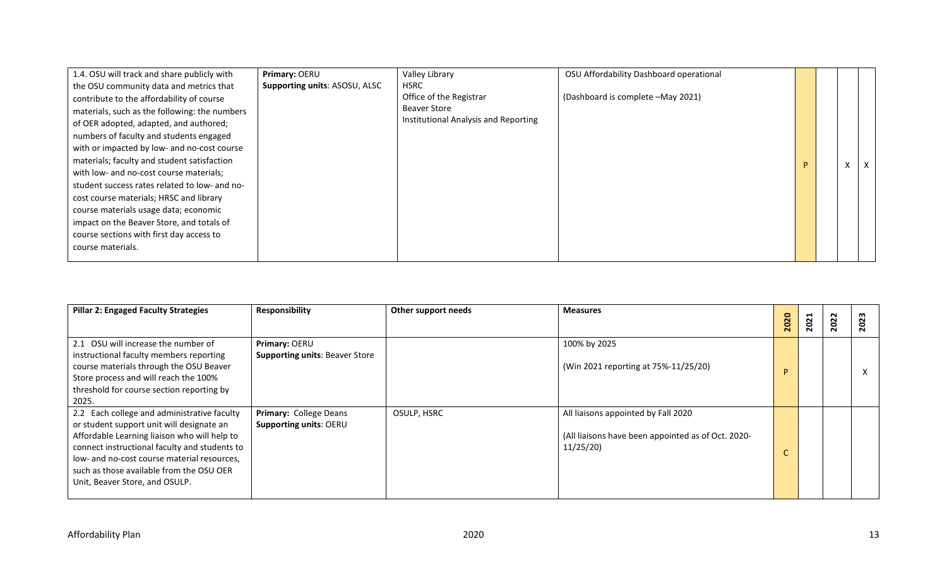| 1.4. OSU will track and share publicly with   | Primary: OERU                 | Valley Library                       | OSU Affordability Dashboard operational |   |          |              |
|-----------------------------------------------|-------------------------------|--------------------------------------|-----------------------------------------|---|----------|--------------|
| the OSU community data and metrics that       | Supporting units: ASOSU, ALSC | <b>HSRC</b>                          |                                         |   |          |              |
| contribute to the affordability of course     |                               | Office of the Registrar              | (Dashboard is complete -May 2021)       |   |          |              |
| materials, such as the following: the numbers |                               | <b>Beaver Store</b>                  |                                         |   |          |              |
| of OER adopted, adapted, and authored;        |                               | Institutional Analysis and Reporting |                                         |   |          |              |
| numbers of faculty and students engaged       |                               |                                      |                                         |   |          |              |
| with or impacted by low- and no-cost course   |                               |                                      |                                         |   |          |              |
| materials; faculty and student satisfaction   |                               |                                      |                                         | P | $\times$ | $\mathsf{X}$ |
| with low- and no-cost course materials;       |                               |                                      |                                         |   |          |              |
| student success rates related to low- and no- |                               |                                      |                                         |   |          |              |
| cost course materials; HRSC and library       |                               |                                      |                                         |   |          |              |
| course materials usage data; economic         |                               |                                      |                                         |   |          |              |
| impact on the Beaver Store, and totals of     |                               |                                      |                                         |   |          |              |
| course sections with first day access to      |                               |                                      |                                         |   |          |              |
| course materials.                             |                               |                                      |                                         |   |          |              |
|                                               |                               |                                      |                                         |   |          |              |

| <b>Pillar 2: Engaged Faculty Strategies</b>                                                                                                                                                                                                                                                                            | Responsibility                                          | Other support needs | <b>Measures</b>                                                                                       | 020<br>$\overline{\mathbf{N}}$ | 21<br>$\overline{\mathbf{N}}$ | 022<br>$\bar{\mathbf{N}}$ |   |
|------------------------------------------------------------------------------------------------------------------------------------------------------------------------------------------------------------------------------------------------------------------------------------------------------------------------|---------------------------------------------------------|---------------------|-------------------------------------------------------------------------------------------------------|--------------------------------|-------------------------------|---------------------------|---|
| 2.1 OSU will increase the number of<br>instructional faculty members reporting<br>course materials through the OSU Beaver<br>Store process and will reach the 100%<br>threshold for course section reporting by<br>2025.                                                                                               | Primary: OERU<br><b>Supporting units: Beaver Store</b>  |                     | 100% by 2025<br>(Win 2021 reporting at 75%-11/25/20)                                                  | D                              |                               |                           | X |
| 2.2 Each college and administrative faculty<br>or student support unit will designate an<br>Affordable Learning liaison who will help to<br>connect instructional faculty and students to<br>low- and no-cost course material resources,<br>such as those available from the OSU OER<br>Unit, Beaver Store, and OSULP. | Primary: College Deans<br><b>Supporting units: OERU</b> | OSULP, HSRC         | All liaisons appointed by Fall 2020<br>(All liaisons have been appointed as of Oct. 2020-<br>11/25/20 |                                |                               |                           |   |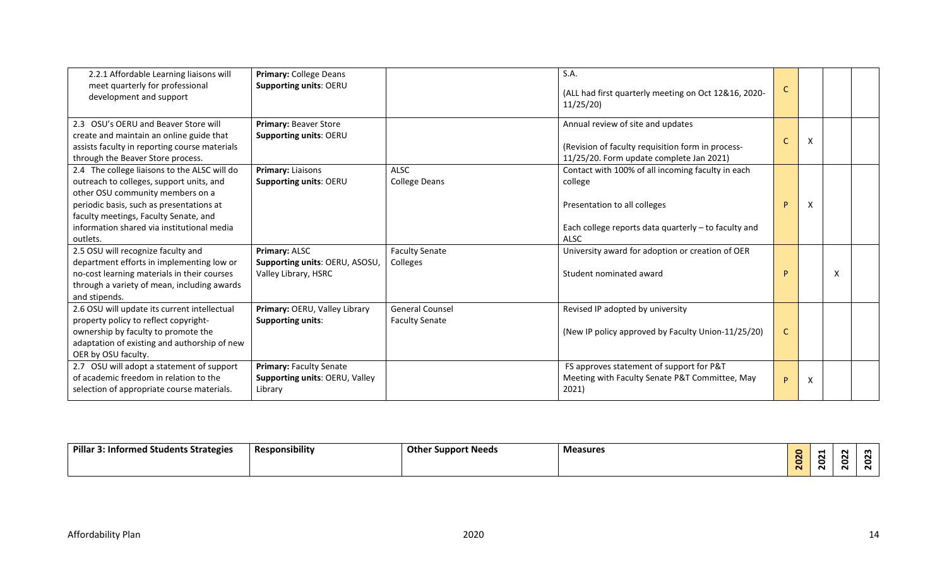| 2.2.1 Affordable Learning liaisons will<br>meet quarterly for professional<br>development and support                                                                                                                                                                       | Primary: College Deans<br>Supporting units: OERU                        |                                                 | S.A.<br>(ALL had first quarterly meeting on Oct 12&16, 2020-<br>11/25/20                                                                                            | C |   |   |  |
|-----------------------------------------------------------------------------------------------------------------------------------------------------------------------------------------------------------------------------------------------------------------------------|-------------------------------------------------------------------------|-------------------------------------------------|---------------------------------------------------------------------------------------------------------------------------------------------------------------------|---|---|---|--|
| 2.3 OSU's OERU and Beaver Store will<br>create and maintain an online guide that<br>assists faculty in reporting course materials<br>through the Beaver Store process.                                                                                                      | Primary: Beaver Store<br><b>Supporting units: OERU</b>                  |                                                 | Annual review of site and updates<br>(Revision of faculty requisition form in process-<br>11/25/20. Form update complete Jan 2021)                                  |   | X |   |  |
| 2.4 The college liaisons to the ALSC will do<br>outreach to colleges, support units, and<br>other OSU community members on a<br>periodic basis, such as presentations at<br>faculty meetings, Faculty Senate, and<br>information shared via institutional media<br>outlets. | Primary: Liaisons<br>Supporting units: OERU                             | <b>ALSC</b><br><b>College Deans</b>             | Contact with 100% of all incoming faculty in each<br>college<br>Presentation to all colleges<br>Each college reports data quarterly - to faculty and<br><b>ALSC</b> | P | X |   |  |
| 2.5 OSU will recognize faculty and<br>department efforts in implementing low or<br>no-cost learning materials in their courses<br>through a variety of mean, including awards<br>and stipends.                                                                              | Primary: ALSC<br>Supporting units: OERU, ASOSU,<br>Valley Library, HSRC | <b>Faculty Senate</b><br>Colleges               | University award for adoption or creation of OER<br>Student nominated award                                                                                         | D |   | x |  |
| 2.6 OSU will update its current intellectual<br>property policy to reflect copyright-<br>ownership by faculty to promote the<br>adaptation of existing and authorship of new<br>OER by OSU faculty.                                                                         | Primary: OERU, Valley Library<br><b>Supporting units:</b>               | <b>General Counsel</b><br><b>Faculty Senate</b> | Revised IP adopted by university<br>(New IP policy approved by Faculty Union-11/25/20)                                                                              |   |   |   |  |
| 2.7 OSU will adopt a statement of support<br>of academic freedom in relation to the<br>selection of appropriate course materials.                                                                                                                                           | Primary: Faculty Senate<br>Supporting units: OERU, Valley<br>Library    |                                                 | FS approves statement of support for P&T<br>Meeting with Faculty Senate P&T Committee, May<br>2021)                                                                 | P | X |   |  |

| Pillar<br>: Informed Students Strategies | Responsibility | <b>Other Support Needs</b> | <b>Measures</b> |         | N<br>N |  |
|------------------------------------------|----------------|----------------------------|-----------------|---------|--------|--|
|                                          |                |                            |                 | -<br>N. | -<br>N |  |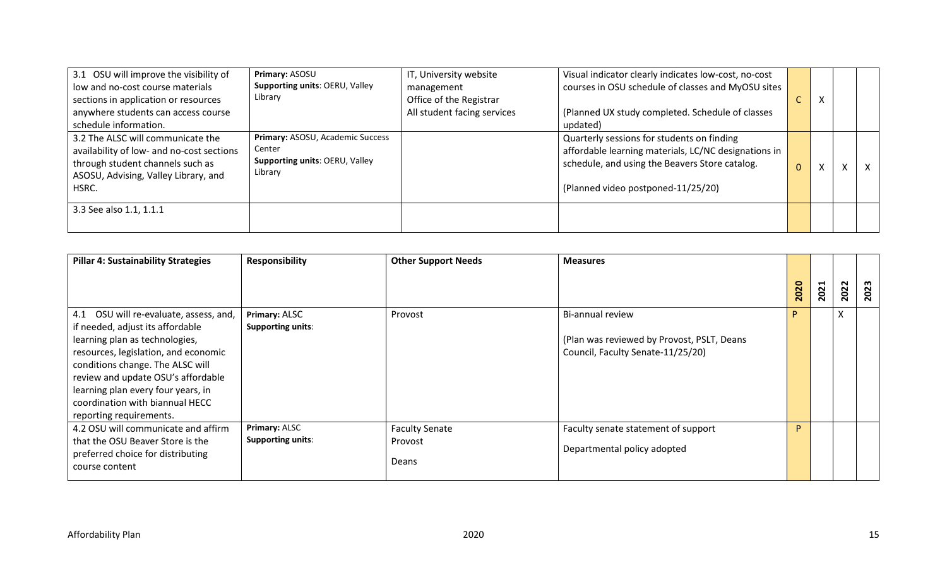| 3.1 OSU will improve the visibility of<br>low and no-cost course materials<br>sections in application or resources<br>anywhere students can access course<br>schedule information. | Primary: ASOSU<br>Supporting units: OERU, Valley<br>Library                             | IT, University website<br>management<br>Office of the Registrar<br>All student facing services | Visual indicator clearly indicates low-cost, no-cost<br>courses in OSU schedule of classes and MyOSU sites<br>(Planned UX study completed. Schedule of classes<br>updated)                 |              | х |   |  |
|------------------------------------------------------------------------------------------------------------------------------------------------------------------------------------|-----------------------------------------------------------------------------------------|------------------------------------------------------------------------------------------------|--------------------------------------------------------------------------------------------------------------------------------------------------------------------------------------------|--------------|---|---|--|
| 3.2 The ALSC will communicate the<br>availability of low- and no-cost sections<br>through student channels such as<br>ASOSU, Advising, Valley Library, and<br>HSRC.                | Primary: ASOSU, Academic Success<br>Center<br>Supporting units: OERU, Valley<br>Library |                                                                                                | Quarterly sessions for students on finding<br>affordable learning materials, LC/NC designations in<br>schedule, and using the Beavers Store catalog.<br>(Planned video postponed-11/25/20) | $\mathbf{0}$ |   | X |  |
| 3.3 See also 1.1, 1.1.1                                                                                                                                                            |                                                                                         |                                                                                                |                                                                                                                                                                                            |              |   |   |  |

| <b>Pillar 4: Sustainability Strategies</b>                                                                                                                                                                                     | <b>Responsibility</b>                            | <b>Other Support Needs</b>                | <b>Measures</b>                                                                                     |      |      |      |      |
|--------------------------------------------------------------------------------------------------------------------------------------------------------------------------------------------------------------------------------|--------------------------------------------------|-------------------------------------------|-----------------------------------------------------------------------------------------------------|------|------|------|------|
|                                                                                                                                                                                                                                |                                                  |                                           |                                                                                                     | 2020 | 2021 | 2022 | 2023 |
| 4.1 OSU will re-evaluate, assess, and,<br>if needed, adjust its affordable<br>learning plan as technologies,<br>resources, legislation, and economic<br>conditions change. The ALSC will<br>review and update OSU's affordable | Primary: ALSC<br><b>Supporting units:</b>        | Provost                                   | Bi-annual review<br>(Plan was reviewed by Provost, PSLT, Deans<br>Council, Faculty Senate-11/25/20) |      |      | v    |      |
| learning plan every four years, in<br>coordination with biannual HECC<br>reporting requirements.                                                                                                                               |                                                  |                                           |                                                                                                     | D    |      |      |      |
| 4.2 OSU will communicate and affirm<br>that the OSU Beaver Store is the<br>preferred choice for distributing<br>course content                                                                                                 | <b>Primary: ALSC</b><br><b>Supporting units:</b> | <b>Faculty Senate</b><br>Provost<br>Deans | Faculty senate statement of support<br>Departmental policy adopted                                  |      |      |      |      |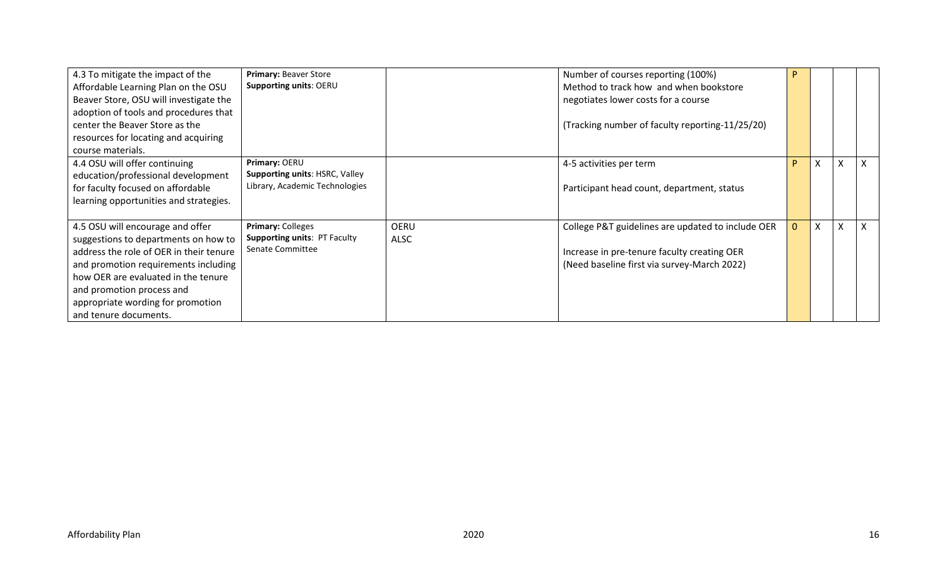| 4.3 To mitigate the impact of the<br>Affordable Learning Plan on the OSU<br>Beaver Store, OSU will investigate the                                                                                                                                        | Primary: Beaver Store<br>Supporting units: OERU          |                            | Number of courses reporting (100%)<br>Method to track how and when bookstore<br>negotiates lower costs for a course |              |                           |                           |  |
|-----------------------------------------------------------------------------------------------------------------------------------------------------------------------------------------------------------------------------------------------------------|----------------------------------------------------------|----------------------------|---------------------------------------------------------------------------------------------------------------------|--------------|---------------------------|---------------------------|--|
| adoption of tools and procedures that<br>center the Beaver Store as the<br>resources for locating and acquiring<br>course materials.                                                                                                                      |                                                          |                            | (Tracking number of faculty reporting-11/25/20)                                                                     |              |                           |                           |  |
| 4.4 OSU will offer continuing<br>education/professional development                                                                                                                                                                                       | Primary: OERU<br>Supporting units: HSRC, Valley          |                            | 4-5 activities per term                                                                                             | D            | $\boldsymbol{\mathsf{X}}$ | X                         |  |
| for faculty focused on affordable<br>learning opportunities and strategies.                                                                                                                                                                               | Library, Academic Technologies                           |                            | Participant head count, department, status                                                                          |              |                           |                           |  |
| 4.5 OSU will encourage and offer                                                                                                                                                                                                                          | Primary: Colleges<br><b>Supporting units: PT Faculty</b> | <b>OERU</b><br><b>ALSC</b> | College P&T guidelines are updated to include OER                                                                   | $\mathbf{0}$ | $\boldsymbol{\mathsf{X}}$ | $\boldsymbol{\mathsf{X}}$ |  |
| suggestions to departments on how to<br>address the role of OER in their tenure<br>and promotion requirements including<br>how OER are evaluated in the tenure<br>and promotion process and<br>appropriate wording for promotion<br>and tenure documents. | Senate Committee                                         |                            | Increase in pre-tenure faculty creating OER<br>(Need baseline first via survey-March 2022)                          |              |                           |                           |  |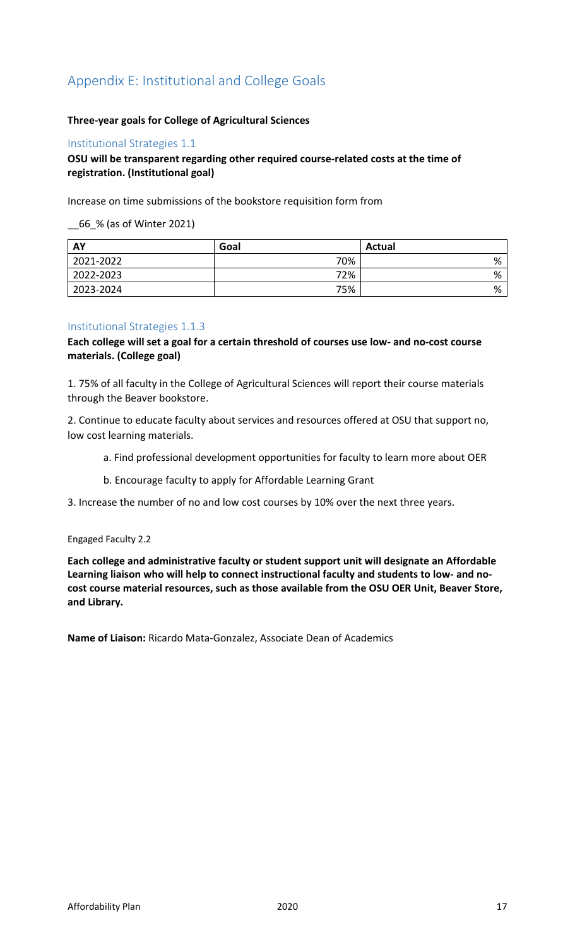# Appendix E: Institutional and College Goals

## **Three-year goals for College of Agricultural Sciences**

#### Institutional Strategies 1.1

## **OSU will be transparent regarding other required course-related costs at the time of registration. (Institutional goal)**

Increase on time submissions of the bookstore requisition form from

\_\_66\_% (as of Winter 2021)

| <b>AY</b> | Goal | Actual |
|-----------|------|--------|
| 2021-2022 | 70%  | %      |
| 2022-2023 | 72%  | %      |
| 2023-2024 | 75%  | %      |

## Institutional Strategies 1.1.3

**Each college will set a goal for a certain threshold of courses use low- and no-cost course materials. (College goal)**

1. 75% of all faculty in the College of Agricultural Sciences will report their course materials through the Beaver bookstore.

2. Continue to educate faculty about services and resources offered at OSU that support no, low cost learning materials.

- a. Find professional development opportunities for faculty to learn more about OER
- b. Encourage faculty to apply for Affordable Learning Grant
- 3. Increase the number of no and low cost courses by 10% over the next three years.

#### Engaged Faculty 2.2

**Each college and administrative faculty or student support unit will designate an Affordable Learning liaison who will help to connect instructional faculty and students to low- and nocost course material resources, such as those available from the OSU OER Unit, Beaver Store, and Library.** 

**Name of Liaison:** Ricardo Mata-Gonzalez, Associate Dean of Academics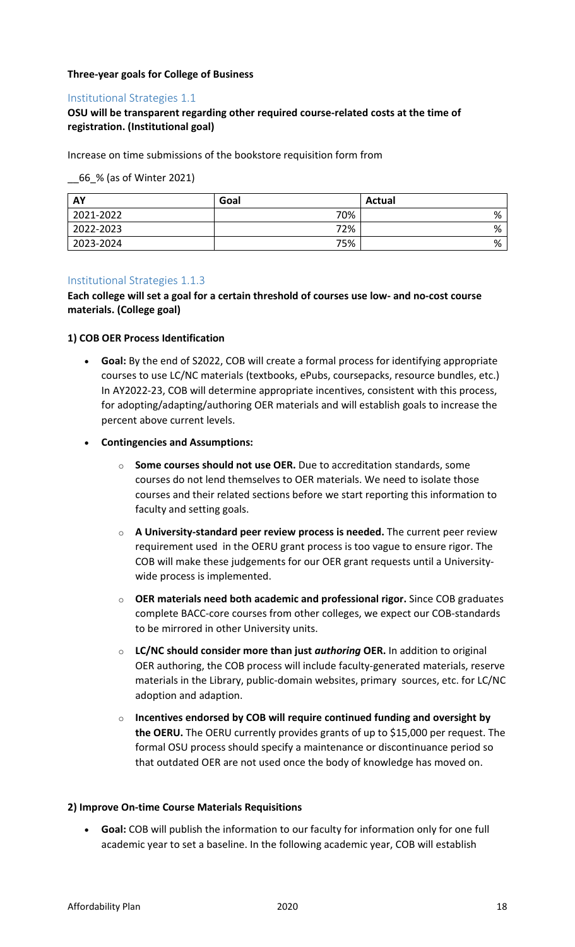## **Three-year goals for College of Business**

## Institutional Strategies 1.1

# **OSU will be transparent regarding other required course-related costs at the time of registration. (Institutional goal)**

Increase on time submissions of the bookstore requisition form from

\_\_66\_% (as of Winter 2021)

| AY        | Goal | <b>Actual</b> |
|-----------|------|---------------|
| 2021-2022 | 70%  | %             |
| 2022-2023 | 72%  | %             |
| 2023-2024 | 75%  | %             |

## Institutional Strategies 1.1.3

**Each college will set a goal for a certain threshold of courses use low- and no-cost course materials. (College goal)**

#### **1) COB OER Process Identification**

• **Goal:** By the end of S2022, COB will create a formal process for identifying appropriate courses to use LC/NC materials (textbooks, ePubs, coursepacks, resource bundles, etc.) In AY2022-23, COB will determine appropriate incentives, consistent with this process, for adopting/adapting/authoring OER materials and will establish goals to increase the percent above current levels.

## • **Contingencies and Assumptions:**

- o **Some courses should not use OER.** Due to accreditation standards, some courses do not lend themselves to OER materials. We need to isolate those courses and their related sections before we start reporting this information to faculty and setting goals.
- o **A University-standard peer review process is needed.** The current peer review requirement used in the OERU grant process is too vague to ensure rigor. The COB will make these judgements for our OER grant requests until a Universitywide process is implemented.
- o **OER materials need both academic and professional rigor.** Since COB graduates complete BACC-core courses from other colleges, we expect our COB-standards to be mirrored in other University units.
- o **LC/NC should consider more than just** *authoring* **OER.** In addition to original OER authoring, the COB process will include faculty-generated materials, reserve materials in the Library, public-domain websites, primary sources, etc. for LC/NC adoption and adaption.
- o **Incentives endorsed by COB will require continued funding and oversight by the OERU.** The OERU currently provides grants of up to \$15,000 per request. The formal OSU process should specify a maintenance or discontinuance period so that outdated OER are not used once the body of knowledge has moved on.

## **2) Improve On-time Course Materials Requisitions**

• **Goal:** COB will publish the information to our faculty for information only for one full academic year to set a baseline. In the following academic year, COB will establish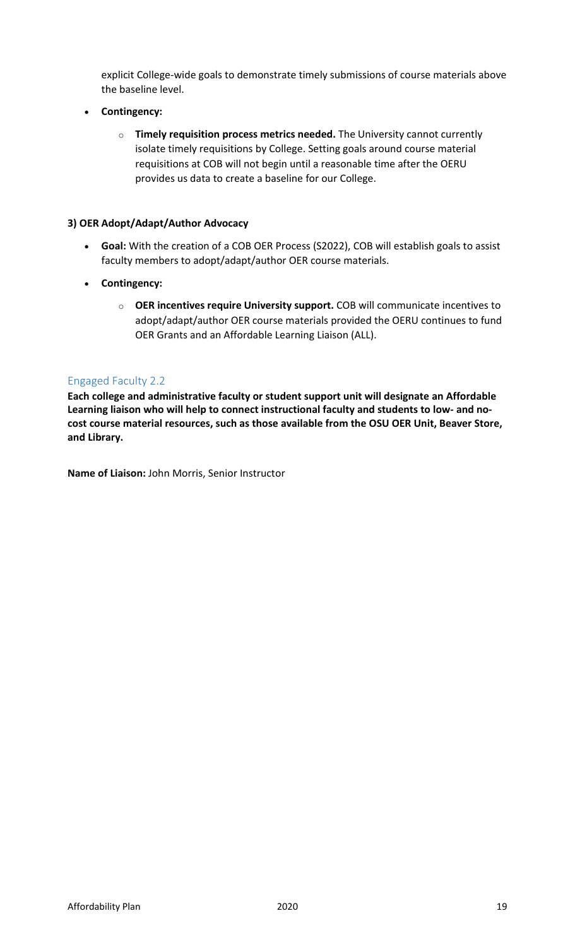explicit College-wide goals to demonstrate timely submissions of course materials above the baseline level.

- **Contingency:**
	- o **Timely requisition process metrics needed.** The University cannot currently isolate timely requisitions by College. Setting goals around course material requisitions at COB will not begin until a reasonable time after the OERU provides us data to create a baseline for our College.

## **3) OER Adopt/Adapt/Author Advocacy**

- **Goal:** With the creation of a COB OER Process (S2022), COB will establish goals to assist faculty members to adopt/adapt/author OER course materials.
- **Contingency:**
	- o **OER incentives require University support.** COB will communicate incentives to adopt/adapt/author OER course materials provided the OERU continues to fund OER Grants and an Affordable Learning Liaison (ALL).

## Engaged Faculty 2.2

**Each college and administrative faculty or student support unit will designate an Affordable Learning liaison who will help to connect instructional faculty and students to low- and nocost course material resources, such as those available from the OSU OER Unit, Beaver Store, and Library.** 

**Name of Liaison:** John Morris, Senior Instructor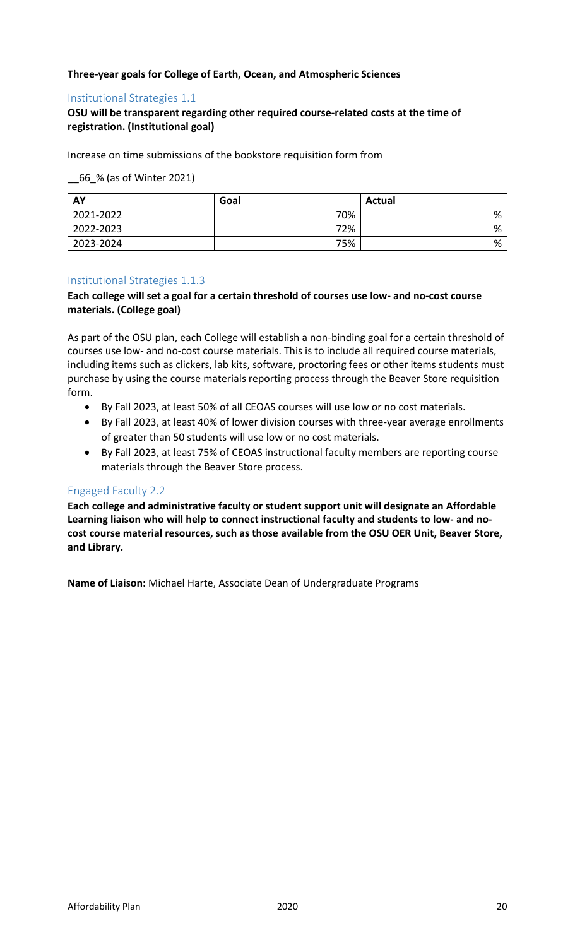## **Three-year goals for College of Earth, Ocean, and Atmospheric Sciences**

## Institutional Strategies 1.1

## **OSU will be transparent regarding other required course-related costs at the time of registration. (Institutional goal)**

Increase on time submissions of the bookstore requisition form from

\_\_66\_% (as of Winter 2021)

| AY        | Goal | Actual |
|-----------|------|--------|
| 2021-2022 | 70%  | %      |
| 2022-2023 | 72%  | %      |
| 2023-2024 | 75%  | %      |

## Institutional Strategies 1.1.3

## **Each college will set a goal for a certain threshold of courses use low- and no-cost course materials. (College goal)**

As part of the OSU plan, each College will establish a non-binding goal for a certain threshold of courses use low- and no-cost course materials. This is to include all required course materials, including items such as clickers, lab kits, software, proctoring fees or other items students must purchase by using the course materials reporting process through the Beaver Store requisition form.

- By Fall 2023, at least 50% of all CEOAS courses will use low or no cost materials.
- By Fall 2023, at least 40% of lower division courses with three-year average enrollments of greater than 50 students will use low or no cost materials.
- By Fall 2023, at least 75% of CEOAS instructional faculty members are reporting course materials through the Beaver Store process.

## Engaged Faculty 2.2

**Each college and administrative faculty or student support unit will designate an Affordable Learning liaison who will help to connect instructional faculty and students to low- and nocost course material resources, such as those available from the OSU OER Unit, Beaver Store, and Library.** 

**Name of Liaison:** Michael Harte, Associate Dean of Undergraduate Programs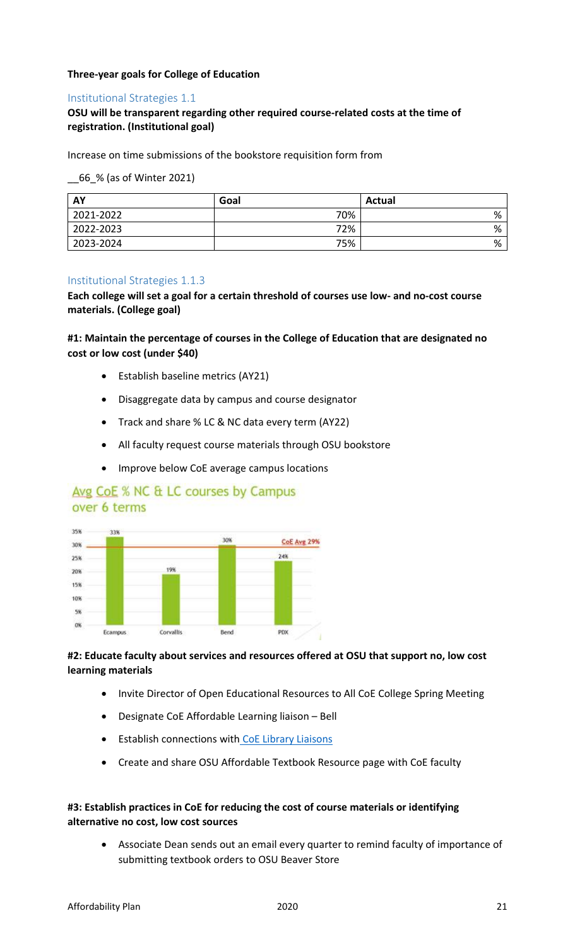## **Three-year goals for College of Education**

## Institutional Strategies 1.1

# **OSU will be transparent regarding other required course-related costs at the time of registration. (Institutional goal)**

Increase on time submissions of the bookstore requisition form from

\_\_66\_% (as of Winter 2021)

| AY        | Goal | <b>Actual</b> |
|-----------|------|---------------|
| 2021-2022 | 70%  | %             |
| 2022-2023 | 72%  | %             |
| 2023-2024 | 75%  | %             |

## Institutional Strategies 1.1.3

**Each college will set a goal for a certain threshold of courses use low- and no-cost course materials. (College goal)**

**#1: Maintain the percentage of courses in the College of Education that are designated no cost or low cost (under \$40)** 

- Establish baseline metrics (AY21)
- Disaggregate data by campus and course designator
- Track and share % LC & NC data every term (AY22)
- All faculty request course materials through OSU bookstore
- Improve below CoE average campus locations

# Avg CoE % NC & LC courses by Campus over 6 terms



# **#2: Educate faculty about services and resources offered at OSU that support no, low cost learning materials**

- Invite Director of Open Educational Resources to All CoE College Spring Meeting
- Designate CoE Affordable Learning liaison Bell
- Establish connections wit[h](https://nam04.safelinks.protection.outlook.com/?url=https%3A%2F%2Flibrary.oregonstate.edu%2Fstaff%2Fcollege-dept&data=04%7C01%7C%7C2746723209b047b56cc408d91af2048e%7Cce6d05e13c5e4d6287a84c4a2713c113%7C0%7C0%7C637570449037586311%7CUnknown%7CTWFpbGZsb3d8eyJWIjoiMC4wLjAwMDAiLCJQIjoiV2luMzIiLCJBTiI6Ik1haWwiLCJXVCI6Mn0%3D%7C1000&sdata=c19HqTO%2FMU9Y3J%2BMSuvC19CzQ1OFgkOCON0aRGkNkRI%3D&reserved=0) [CoE](https://nam04.safelinks.protection.outlook.com/?url=https%3A%2F%2Flibrary.oregonstate.edu%2Fstaff%2Fcollege-dept&data=04%7C01%7C%7C2746723209b047b56cc408d91af2048e%7Cce6d05e13c5e4d6287a84c4a2713c113%7C0%7C0%7C637570449037586311%7CUnknown%7CTWFpbGZsb3d8eyJWIjoiMC4wLjAwMDAiLCJQIjoiV2luMzIiLCJBTiI6Ik1haWwiLCJXVCI6Mn0%3D%7C1000&sdata=c19HqTO%2FMU9Y3J%2BMSuvC19CzQ1OFgkOCON0aRGkNkRI%3D&reserved=0) [Library Liaisons](https://nam04.safelinks.protection.outlook.com/?url=https%3A%2F%2Flibrary.oregonstate.edu%2Fstaff%2Fcollege-dept&data=04%7C01%7C%7C2746723209b047b56cc408d91af2048e%7Cce6d05e13c5e4d6287a84c4a2713c113%7C0%7C0%7C637570449037596306%7CUnknown%7CTWFpbGZsb3d8eyJWIjoiMC4wLjAwMDAiLCJQIjoiV2luMzIiLCJBTiI6Ik1haWwiLCJXVCI6Mn0%3D%7C1000&sdata=GU1aM5kjmIIiCYlBiB8DVSnwD0r%2BElFgONHKJNZS7VU%3D&reserved=0)
- Create and share OSU Affordable Textbook Resource page with CoE faculty

# **#3: Establish practices in CoE for reducing the cost of course materials or identifying alternative no cost, low cost sources**

• Associate Dean sends out an email every quarter to remind faculty of importance of submitting textbook orders to OSU Beaver Store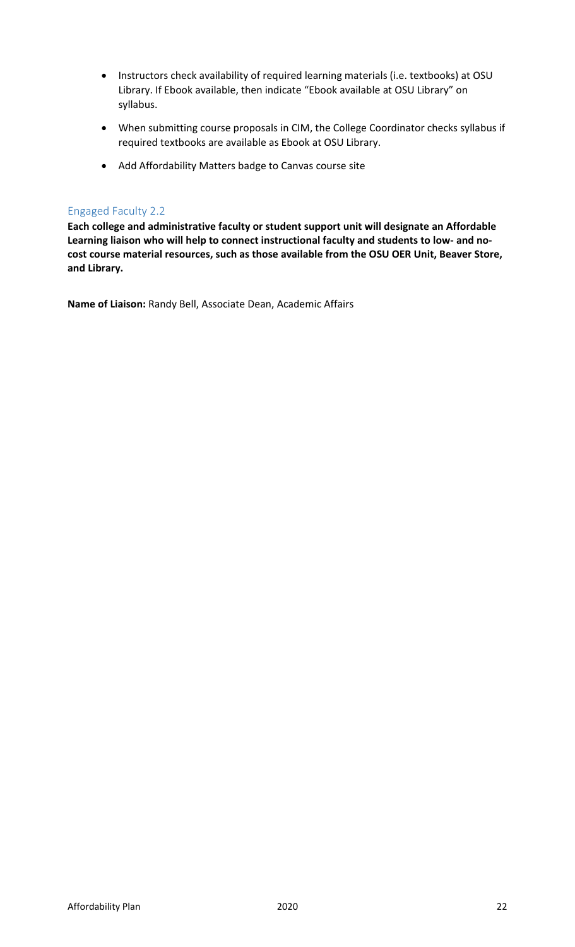- Instructors check availability of required learning materials (i.e. textbooks) at OSU Library. If Ebook available, then indicate "Ebook available at OSU Library" on syllabus.
- When submitting course proposals in CIM, the College Coordinator checks syllabus if required textbooks are available as Ebook at OSU Library.
- Add Affordability Matters badge to Canvas course site

## Engaged Faculty 2.2

**Each college and administrative faculty or student support unit will designate an Affordable Learning liaison who will help to connect instructional faculty and students to low- and nocost course material resources, such as those available from the OSU OER Unit, Beaver Store, and Library.** 

**Name of Liaison:** Randy Bell, Associate Dean, Academic Affairs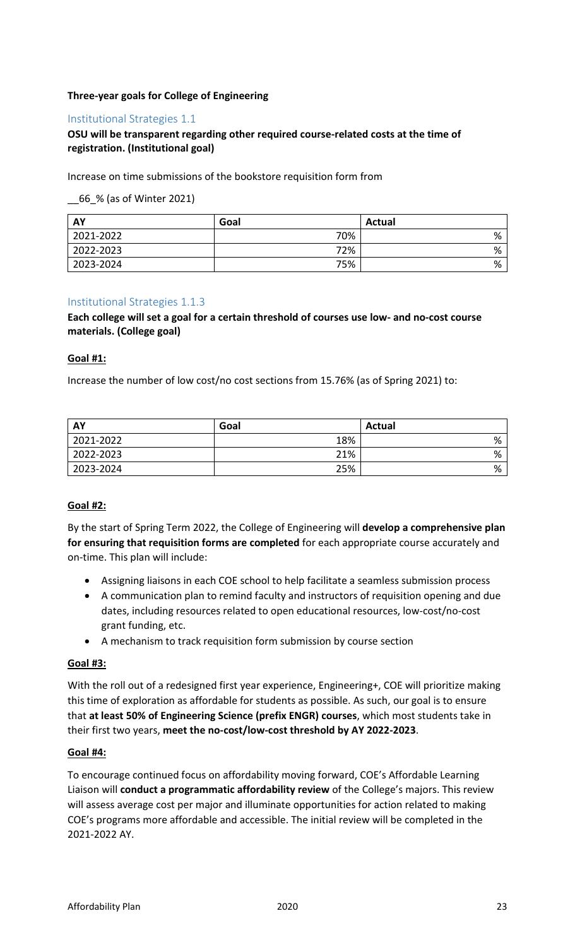## **Three-year goals for College of Engineering**

## Institutional Strategies 1.1

## **OSU will be transparent regarding other required course-related costs at the time of registration. (Institutional goal)**

Increase on time submissions of the bookstore requisition form from

\_\_66\_% (as of Winter 2021)

| AY        | Goal | <b>Actual</b> |
|-----------|------|---------------|
| 2021-2022 | 70%  | %             |
| 2022-2023 | 72%  | %             |
| 2023-2024 | 75%  | %             |

## Institutional Strategies 1.1.3

## **Each college will set a goal for a certain threshold of courses use low- and no-cost course materials. (College goal)**

## **Goal #1:**

Increase the number of low cost/no cost sections from 15.76% (as of Spring 2021) to:

| <b>AY</b> | Goal | <b>Actual</b> |
|-----------|------|---------------|
| 2021-2022 | 18%  | %             |
| 2022-2023 | 21%  | %             |
| 2023-2024 | 25%  | %             |

## **Goal #2:**

By the start of Spring Term 2022, the College of Engineering will **develop a comprehensive plan for ensuring that requisition forms are completed** for each appropriate course accurately and on-time. This plan will include:

- Assigning liaisons in each COE school to help facilitate a seamless submission process
- A communication plan to remind faculty and instructors of requisition opening and due dates, including resources related to open educational resources, low-cost/no-cost grant funding, etc.
- A mechanism to track requisition form submission by course section

## **Goal #3:**

With the roll out of a redesigned first year experience, Engineering+, COE will prioritize making this time of exploration as affordable for students as possible. As such, our goal is to ensure that **at least 50% of Engineering Science (prefix ENGR) courses**, which most students take in their first two years, **meet the no-cost/low-cost threshold by AY 2022-2023**.

#### **Goal #4:**

To encourage continued focus on affordability moving forward, COE's Affordable Learning Liaison will **conduct a programmatic affordability review** of the College's majors. This review will assess average cost per major and illuminate opportunities for action related to making COE's programs more affordable and accessible. The initial review will be completed in the 2021-2022 AY.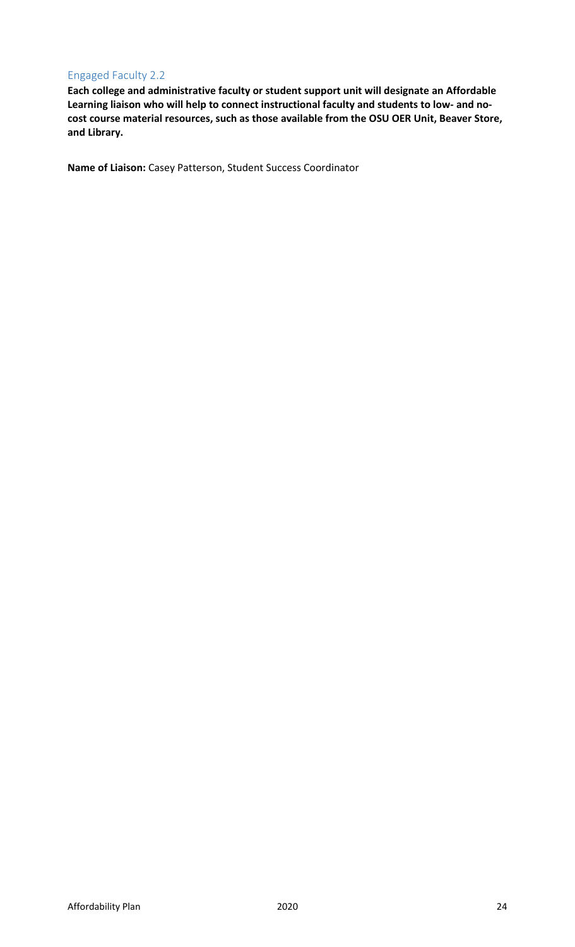# Engaged Faculty 2.2

**Each college and administrative faculty or student support unit will designate an Affordable Learning liaison who will help to connect instructional faculty and students to low- and nocost course material resources, such as those available from the OSU OER Unit, Beaver Store, and Library.** 

**Name of Liaison:** Casey Patterson, Student Success Coordinator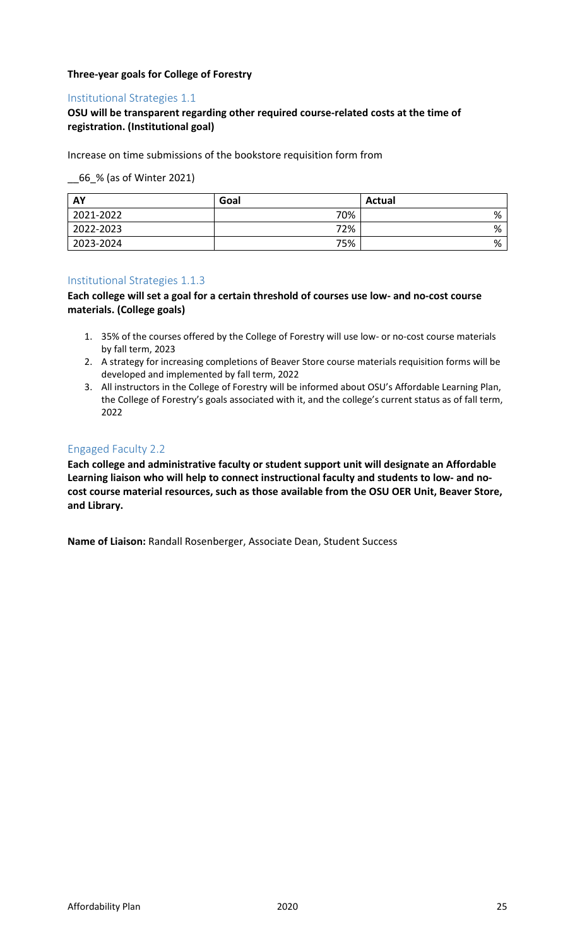## **Three-year goals for College of Forestry**

## Institutional Strategies 1.1

# **OSU will be transparent regarding other required course-related costs at the time of registration. (Institutional goal)**

Increase on time submissions of the bookstore requisition form from

\_\_66\_% (as of Winter 2021)

| AY        | Goal | Actual |
|-----------|------|--------|
| 2021-2022 | 70%  | %      |
| 2022-2023 | 72%  | %      |
| 2023-2024 | 75%  | %      |

## Institutional Strategies 1.1.3

**Each college will set a goal for a certain threshold of courses use low- and no-cost course materials. (College goals)**

- 1. 35% of the courses offered by the College of Forestry will use low- or no-cost course materials by fall term, 2023
- 2. A strategy for increasing completions of Beaver Store course materials requisition forms will be developed and implemented by fall term, 2022
- 3. All instructors in the College of Forestry will be informed about OSU's Affordable Learning Plan, the College of Forestry's goals associated with it, and the college's current status as of fall term, 2022

## Engaged Faculty 2.2

**Each college and administrative faculty or student support unit will designate an Affordable Learning liaison who will help to connect instructional faculty and students to low- and nocost course material resources, such as those available from the OSU OER Unit, Beaver Store, and Library.** 

**Name of Liaison:** Randall Rosenberger, Associate Dean, Student Success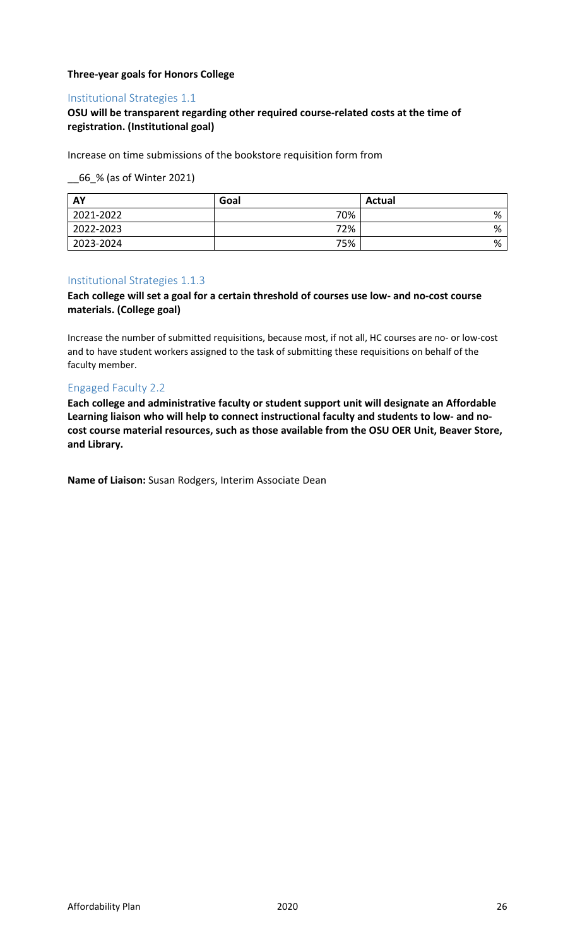## **Three-year goals for Honors College**

## Institutional Strategies 1.1

# **OSU will be transparent regarding other required course-related costs at the time of registration. (Institutional goal)**

Increase on time submissions of the bookstore requisition form from

\_\_66\_% (as of Winter 2021)

| AY        | Goal | <b>Actual</b> |
|-----------|------|---------------|
| 2021-2022 | 70%  | %             |
| 2022-2023 | 72%  | %             |
| 2023-2024 | 75%  | %             |

## Institutional Strategies 1.1.3

## **Each college will set a goal for a certain threshold of courses use low- and no-cost course materials. (College goal)**

Increase the number of submitted requisitions, because most, if not all, HC courses are no- or low-cost and to have student workers assigned to the task of submitting these requisitions on behalf of the faculty member.

## Engaged Faculty 2.2

**Each college and administrative faculty or student support unit will designate an Affordable Learning liaison who will help to connect instructional faculty and students to low- and nocost course material resources, such as those available from the OSU OER Unit, Beaver Store, and Library.** 

**Name of Liaison:** Susan Rodgers, Interim Associate Dean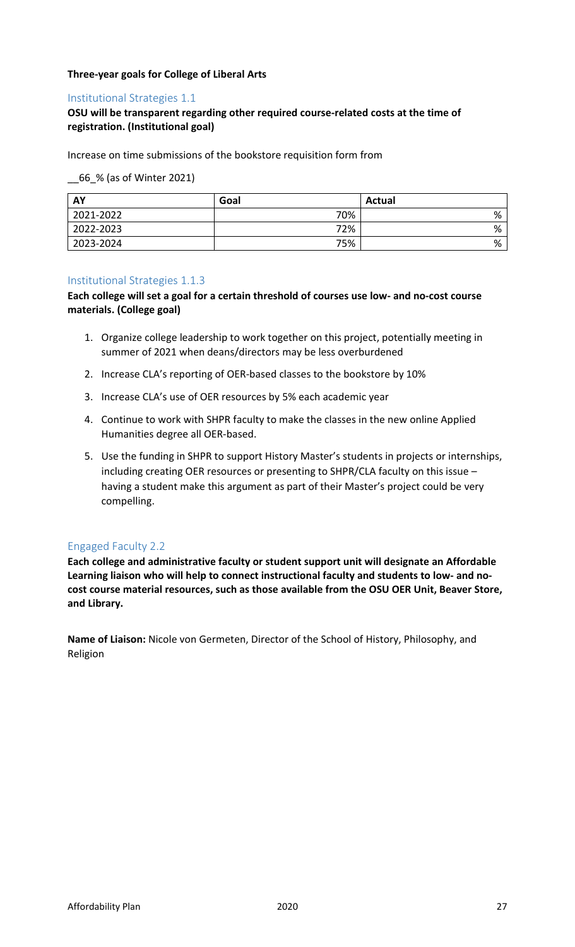## **Three-year goals for College of Liberal Arts**

## Institutional Strategies 1.1

# **OSU will be transparent regarding other required course-related costs at the time of registration. (Institutional goal)**

Increase on time submissions of the bookstore requisition form from

\_\_66\_% (as of Winter 2021)

| AY        | Goal | <b>Actual</b> |
|-----------|------|---------------|
| 2021-2022 | 70%  | %             |
| 2022-2023 | 72%  | %             |
| 2023-2024 | 75%  | %             |

## Institutional Strategies 1.1.3

**Each college will set a goal for a certain threshold of courses use low- and no-cost course materials. (College goal)**

- 1. Organize college leadership to work together on this project, potentially meeting in summer of 2021 when deans/directors may be less overburdened
- 2. Increase CLA's reporting of OER-based classes to the bookstore by 10%
- 3. Increase CLA's use of OER resources by 5% each academic year
- 4. Continue to work with SHPR faculty to make the classes in the new online Applied Humanities degree all OER-based.
- 5. Use the funding in SHPR to support History Master's students in projects or internships, including creating OER resources or presenting to SHPR/CLA faculty on this issue – having a student make this argument as part of their Master's project could be very compelling.

## Engaged Faculty 2.2

**Each college and administrative faculty or student support unit will designate an Affordable Learning liaison who will help to connect instructional faculty and students to low- and nocost course material resources, such as those available from the OSU OER Unit, Beaver Store, and Library.** 

**Name of Liaison:** Nicole von Germeten, Director of the School of History, Philosophy, and Religion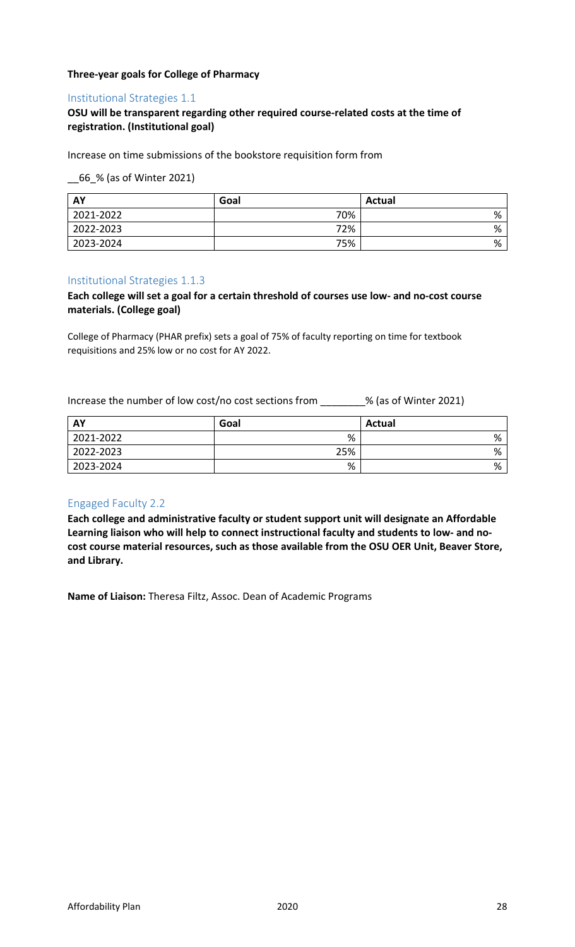## **Three-year goals for College of Pharmacy**

## Institutional Strategies 1.1

## **OSU will be transparent regarding other required course-related costs at the time of registration. (Institutional goal)**

Increase on time submissions of the bookstore requisition form from

\_\_66\_% (as of Winter 2021)

| AY        | Goal | <b>Actual</b> |
|-----------|------|---------------|
| 2021-2022 | 70%  | %             |
| 2022-2023 | 72%  | %             |
| 2023-2024 | 75%  | %             |

## Institutional Strategies 1.1.3

## **Each college will set a goal for a certain threshold of courses use low- and no-cost course materials. (College goal)**

College of Pharmacy (PHAR prefix) sets a goal of 75% of faculty reporting on time for textbook requisitions and 25% low or no cost for AY 2022.

Increase the number of low cost/no cost sections from \_\_\_\_\_\_\_\_% (as of Winter 2021)

| <b>AY</b> | Goal | <b>Actual</b> |
|-----------|------|---------------|
| 2021-2022 | %    | %             |
| 2022-2023 | 25%  | %             |
| 2023-2024 | %    | %             |

# Engaged Faculty 2.2

**Each college and administrative faculty or student support unit will designate an Affordable Learning liaison who will help to connect instructional faculty and students to low- and nocost course material resources, such as those available from the OSU OER Unit, Beaver Store, and Library.** 

**Name of Liaison:** Theresa Filtz, Assoc. Dean of Academic Programs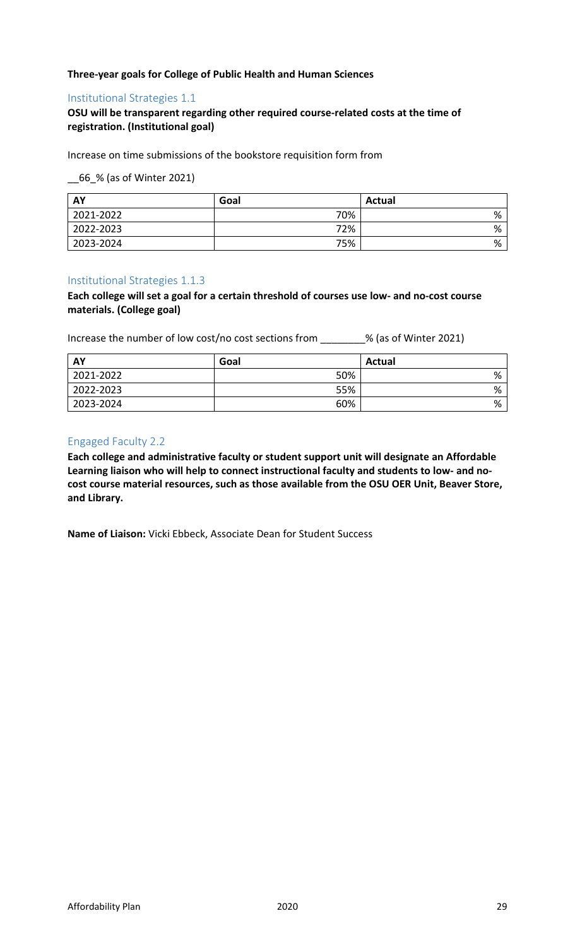## **Three-year goals for College of Public Health and Human Sciences**

## Institutional Strategies 1.1

## **OSU will be transparent regarding other required course-related costs at the time of registration. (Institutional goal)**

Increase on time submissions of the bookstore requisition form from

\_\_66\_% (as of Winter 2021)

| <b>AY</b> | Goal | <b>Actual</b> |
|-----------|------|---------------|
| 2021-2022 | 70%  | %             |
| 2022-2023 | 72%  | %             |
| 2023-2024 | 75%  | %             |

#### Institutional Strategies 1.1.3

**Each college will set a goal for a certain threshold of courses use low- and no-cost course materials. (College goal)**

Increase the number of low cost/no cost sections from \_\_\_\_\_\_\_\_% (as of Winter 2021)

| AY        | Goal | <b>Actual</b> |
|-----------|------|---------------|
| 2021-2022 | 50%  | %             |
| 2022-2023 | 55%  | %             |
| 2023-2024 | 60%  | %             |

## Engaged Faculty 2.2

**Each college and administrative faculty or student support unit will designate an Affordable Learning liaison who will help to connect instructional faculty and students to low- and nocost course material resources, such as those available from the OSU OER Unit, Beaver Store, and Library.** 

**Name of Liaison:** Vicki Ebbeck, Associate Dean for Student Success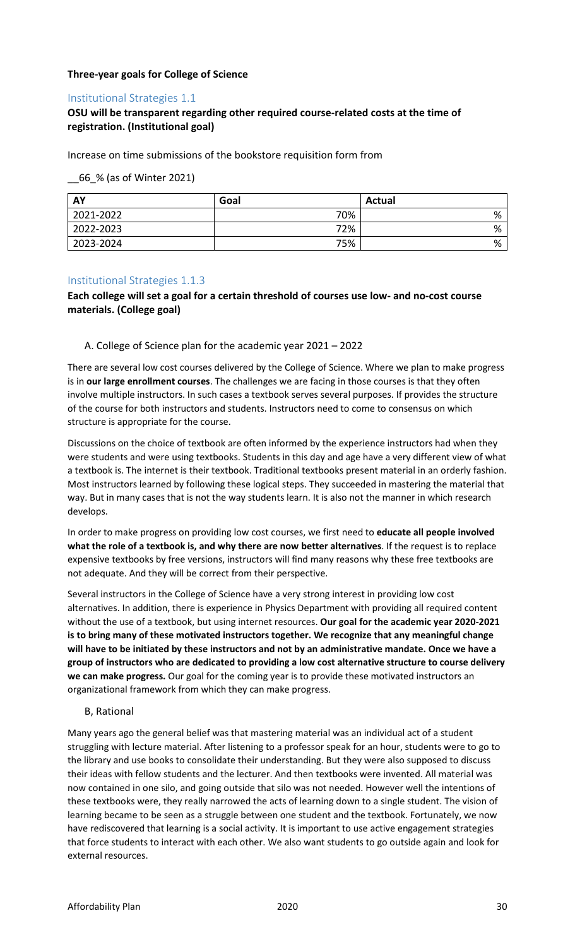## **Three-year goals for College of Science**

## Institutional Strategies 1.1

# **OSU will be transparent regarding other required course-related costs at the time of registration. (Institutional goal)**

Increase on time submissions of the bookstore requisition form from

\_\_66\_% (as of Winter 2021)

| AY        | Goal | <b>Actual</b> |
|-----------|------|---------------|
| 2021-2022 | 70%  | %             |
| 2022-2023 | 72%  | %             |
| 2023-2024 | 75%  | %             |

## Institutional Strategies 1.1.3

## **Each college will set a goal for a certain threshold of courses use low- and no-cost course materials. (College goal)**

#### A. College of Science plan for the academic year 2021 – 2022

There are several low cost courses delivered by the College of Science. Where we plan to make progress is in **our large enrollment courses**. The challenges we are facing in those courses is that they often involve multiple instructors. In such cases a textbook serves several purposes. If provides the structure of the course for both instructors and students. Instructors need to come to consensus on which structure is appropriate for the course.

Discussions on the choice of textbook are often informed by the experience instructors had when they were students and were using textbooks. Students in this day and age have a very different view of what a textbook is. The internet is their textbook. Traditional textbooks present material in an orderly fashion. Most instructors learned by following these logical steps. They succeeded in mastering the material that way. But in many cases that is not the way students learn. It is also not the manner in which research develops.

In order to make progress on providing low cost courses, we first need to **educate all people involved what the role of a textbook is, and why there are now better alternatives**. If the request is to replace expensive textbooks by free versions, instructors will find many reasons why these free textbooks are not adequate. And they will be correct from their perspective.

Several instructors in the College of Science have a very strong interest in providing low cost alternatives. In addition, there is experience in Physics Department with providing all required content without the use of a textbook, but using internet resources. **Our goal for the academic year 2020-2021 is to bring many of these motivated instructors together. We recognize that any meaningful change will have to be initiated by these instructors and not by an administrative mandate. Once we have a group of instructors who are dedicated to providing a low cost alternative structure to course delivery we can make progress.** Our goal for the coming year is to provide these motivated instructors an organizational framework from which they can make progress.

#### B, Rational

Many years ago the general belief was that mastering material was an individual act of a student struggling with lecture material. After listening to a professor speak for an hour, students were to go to the library and use books to consolidate their understanding. But they were also supposed to discuss their ideas with fellow students and the lecturer. And then textbooks were invented. All material was now contained in one silo, and going outside that silo was not needed. However well the intentions of these textbooks were, they really narrowed the acts of learning down to a single student. The vision of learning became to be seen as a struggle between one student and the textbook. Fortunately, we now have rediscovered that learning is a social activity. It is important to use active engagement strategies that force students to interact with each other. We also want students to go outside again and look for external resources.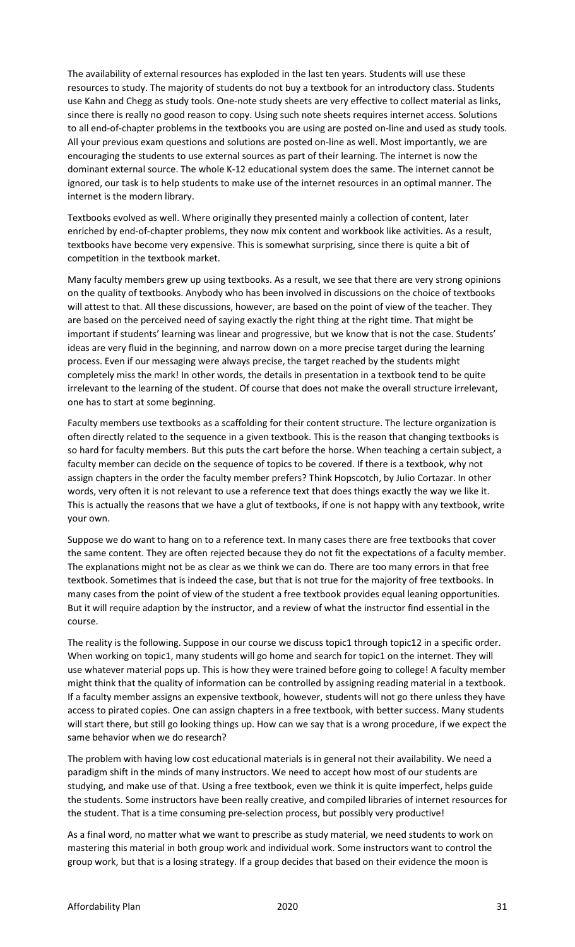The availability of external resources has exploded in the last ten years. Students will use these resources to study. The majority of students do not buy a textbook for an introductory class. Students use Kahn and Chegg as study tools. One-note study sheets are very effective to collect material as links, since there is really no good reason to copy. Using such note sheets requires internet access. Solutions to all end-of-chapter problems in the textbooks you are using are posted on-line and used as study tools. All your previous exam questions and solutions are posted on-line as well. Most importantly, we are encouraging the students to use external sources as part of their learning. The internet is now the dominant external source. The whole K-12 educational system does the same. The internet cannot be ignored, our task is to help students to make use of the internet resources in an optimal manner. The internet is the modern library.

Textbooks evolved as well. Where originally they presented mainly a collection of content, later enriched by end-of-chapter problems, they now mix content and workbook like activities. As a result, textbooks have become very expensive. This is somewhat surprising, since there is quite a bit of competition in the textbook market.

Many faculty members grew up using textbooks. As a result, we see that there are very strong opinions on the quality of textbooks. Anybody who has been involved in discussions on the choice of textbooks will attest to that. All these discussions, however, are based on the point of view of the teacher. They are based on the perceived need of saying exactly the right thing at the right time. That might be important if students' learning was linear and progressive, but we know that is not the case. Students' ideas are very fluid in the beginning, and narrow down on a more precise target during the learning process. Even if our messaging were always precise, the target reached by the students might completely miss the mark! In other words, the details in presentation in a textbook tend to be quite irrelevant to the learning of the student. Of course that does not make the overall structure irrelevant, one has to start at some beginning.

Faculty members use textbooks as a scaffolding for their content structure. The lecture organization is often directly related to the sequence in a given textbook. This is the reason that changing textbooks is so hard for faculty members. But this puts the cart before the horse. When teaching a certain subject, a faculty member can decide on the sequence of topics to be covered. If there is a textbook, why not assign chapters in the order the faculty member prefers? Think Hopscotch, by Julio Cortazar. In other words, very often it is not relevant to use a reference text that does things exactly the way we like it. This is actually the reasons that we have a glut of textbooks, if one is not happy with any textbook, write your own.

Suppose we do want to hang on to a reference text. In many cases there are free textbooks that cover the same content. They are often rejected because they do not fit the expectations of a faculty member. The explanations might not be as clear as we think we can do. There are too many errors in that free textbook. Sometimes that is indeed the case, but that is not true for the majority of free textbooks. In many cases from the point of view of the student a free textbook provides equal leaning opportunities. But it will require adaption by the instructor, and a review of what the instructor find essential in the course.

The reality is the following. Suppose in our course we discuss topic1 through topic12 in a specific order. When working on topic1, many students will go home and search for topic1 on the internet. They will use whatever material pops up. This is how they were trained before going to college! A faculty member might think that the quality of information can be controlled by assigning reading material in a textbook. If a faculty member assigns an expensive textbook, however, students will not go there unless they have access to pirated copies. One can assign chapters in a free textbook, with better success. Many students will start there, but still go looking things up. How can we say that is a wrong procedure, if we expect the same behavior when we do research?

The problem with having low cost educational materials is in general not their availability. We need a paradigm shift in the minds of many instructors. We need to accept how most of our students are studying, and make use of that. Using a free textbook, even we think it is quite imperfect, helps guide the students. Some instructors have been really creative, and compiled libraries of internet resources for the student. That is a time consuming pre-selection process, but possibly very productive!

As a final word, no matter what we want to prescribe as study material, we need students to work on mastering this material in both group work and individual work. Some instructors want to control the group work, but that is a losing strategy. If a group decides that based on their evidence the moon is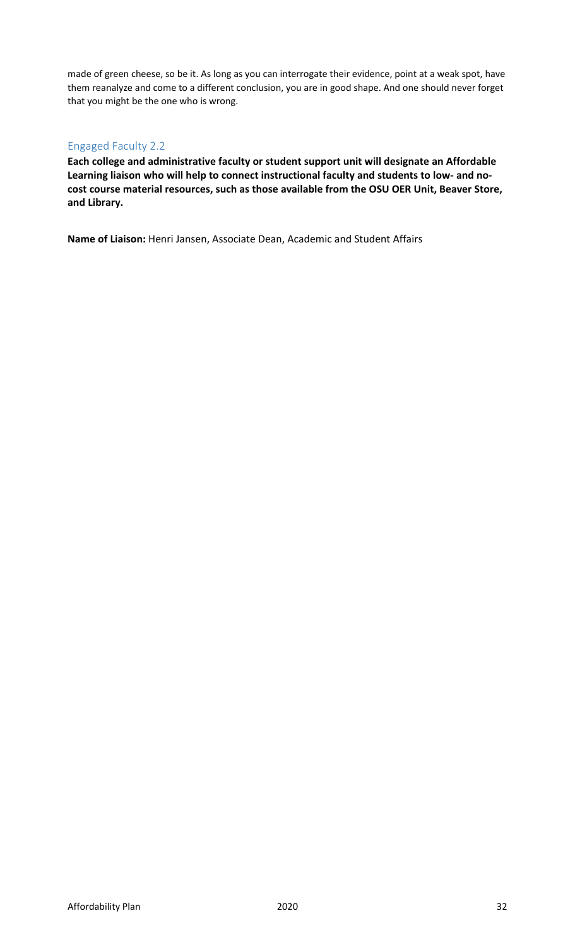made of green cheese, so be it. As long as you can interrogate their evidence, point at a weak spot, have them reanalyze and come to a different conclusion, you are in good shape. And one should never forget that you might be the one who is wrong.

# Engaged Faculty 2.2

**Each college and administrative faculty or student support unit will designate an Affordable Learning liaison who will help to connect instructional faculty and students to low- and nocost course material resources, such as those available from the OSU OER Unit, Beaver Store, and Library.** 

**Name of Liaison:** Henri Jansen, Associate Dean, Academic and Student Affairs